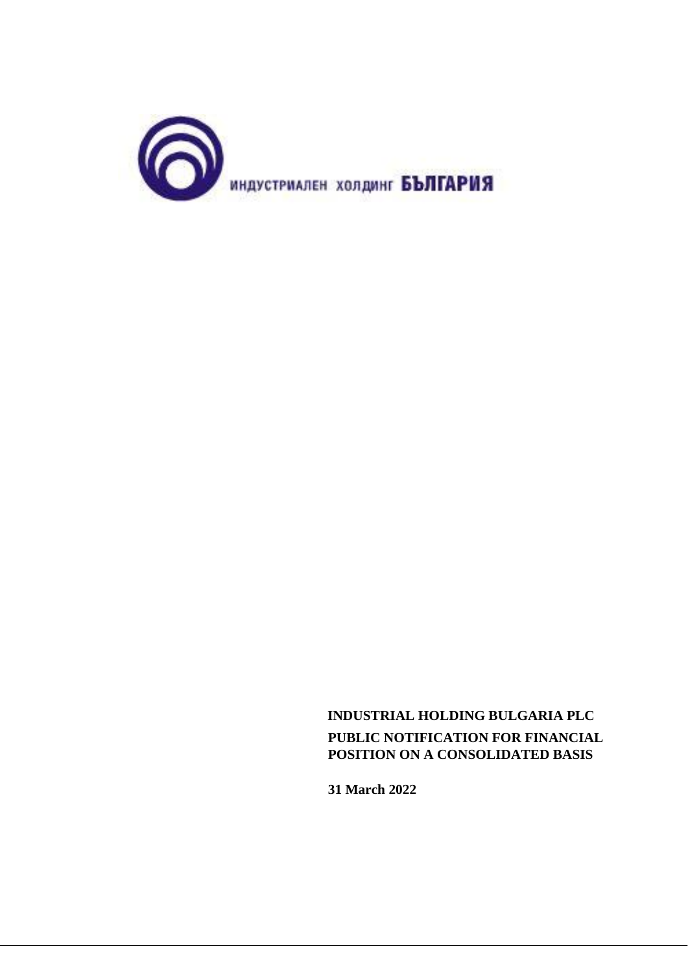

 **INDUSTRIAL HOLDING BULGARIA PLC PUBLIC NOTIFICATION FOR FINANCIAL POSITION ON A CONSOLIDATED BASIS**

**31 March 2022**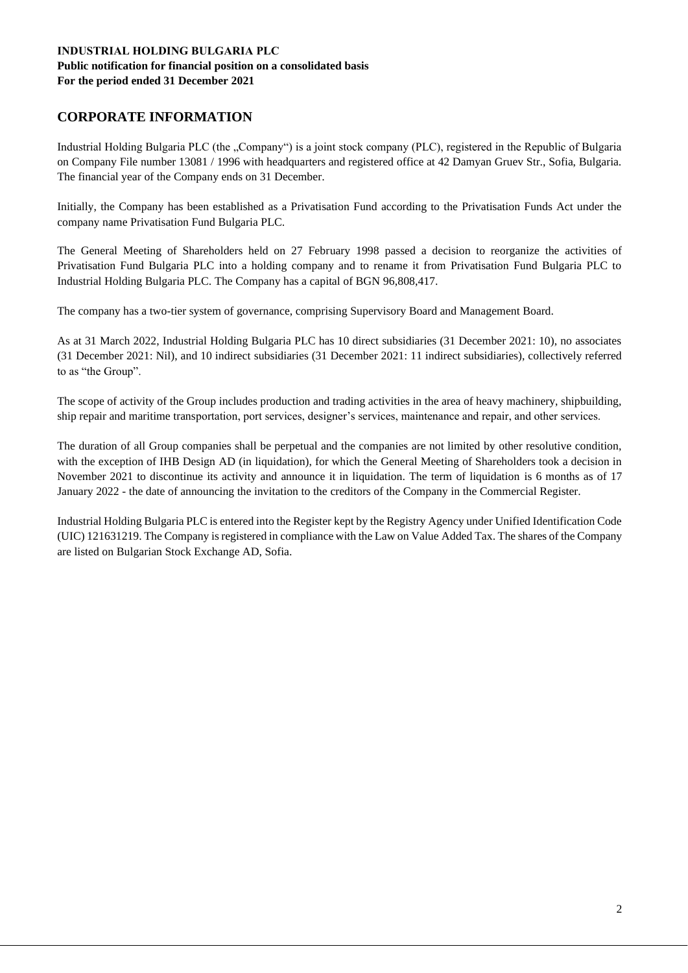# **CORPORATE INFORMATION**

Industrial Holding Bulgaria PLC (the "Company") is a joint stock company (PLC), registered in the Republic of Bulgaria on Company File number 13081 / 1996 with headquarters and registered office at 42 Damyan Gruev Str., Sofia, Bulgaria. The financial year of the Company ends on 31 December.

Initially, the Company has been established as a Privatisation Fund according to the Privatisation Funds Act under the company name Privatisation Fund Bulgaria PLC.

The General Meeting of Shareholders held on 27 February 1998 passed a decision to reorganize the activities of Privatisation Fund Bulgaria PLC into a holding company and to rename it from Privatisation Fund Bulgaria PLC to Industrial Holding Bulgaria PLC. The Company has a capital of BGN 96,808,417.

The company has a two-tier system of governance, comprising Supervisory Board and Management Board.

As at 31 March 2022, Industrial Holding Bulgaria PLC has 10 direct subsidiaries (31 December 2021: 10), no associates (31 December 2021: Nil), and 10 indirect subsidiaries (31 December 2021: 11 indirect subsidiaries), collectively referred to as "the Group".

The scope of activity of the Group includes production and trading activities in the area of heavy machinery, shipbuilding, ship repair and maritime transportation, port services, designer's services, maintenance and repair, and other services.

The duration of all Group companies shall be perpetual and the companies are not limited by other resolutive condition, with the exception of IHB Design AD (in liquidation), for which the General Meeting of Shareholders took a decision in November 2021 to discontinue its activity and announce it in liquidation. The term of liquidation is 6 months as of 17 January 2022 - the date of announcing the invitation to the creditors of the Company in the Commercial Register.

Industrial Holding Bulgaria PLC is entered into the Register kept by the Registry Agency under Unified Identification Code (UIC) 121631219. The Company is registered in compliance with the Law on Value Added Tax. The shares of the Company are listed on Bulgarian Stock Exchange AD, Sofia.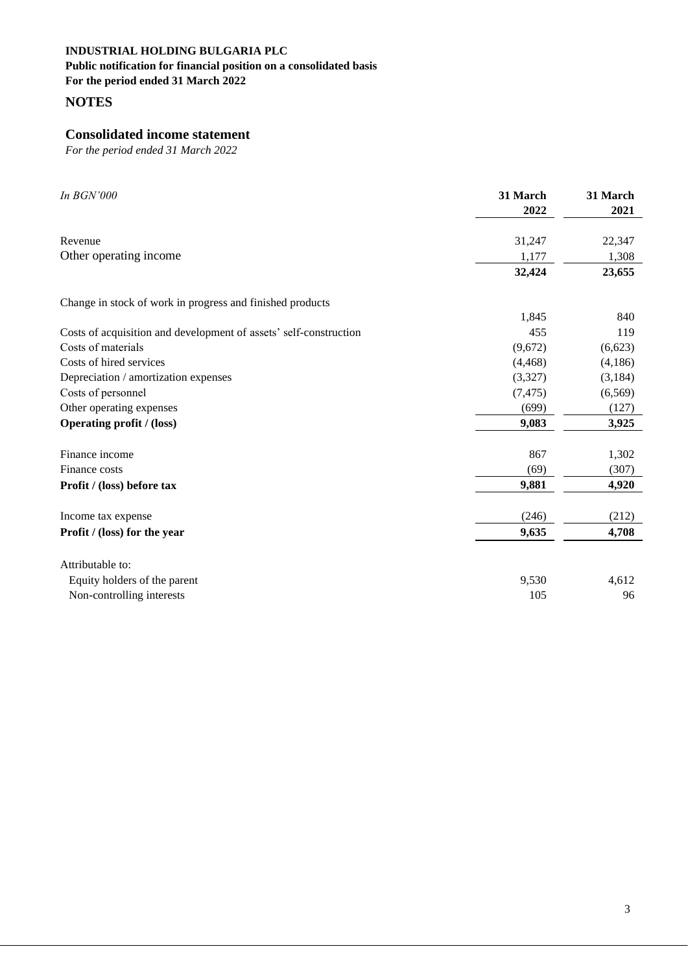**Public notification for financial position on a consolidated basis**

**For the period ended 31 March 2022** 

**NOTES**

# **Consolidated income statement**

| In <b>BGN'000</b>                                                 | 31 March<br>2022 | 31 March<br>2021 |
|-------------------------------------------------------------------|------------------|------------------|
| Revenue                                                           | 31,247           | 22,347           |
| Other operating income                                            | 1,177            | 1,308            |
|                                                                   | 32,424           | 23,655           |
| Change in stock of work in progress and finished products         |                  |                  |
|                                                                   | 1,845            | 840              |
| Costs of acquisition and development of assets' self-construction | 455              | 119              |
| Costs of materials                                                | (9,672)          | (6,623)          |
| Costs of hired services                                           | (4, 468)         | (4,186)          |
| Depreciation / amortization expenses                              | (3,327)          | (3, 184)         |
| Costs of personnel                                                | (7, 475)         | (6,569)          |
| Other operating expenses                                          | (699)            | (127)            |
| <b>Operating profit / (loss)</b>                                  | 9,083            | 3,925            |
| Finance income                                                    | 867              | 1,302            |
| Finance costs                                                     | (69)             | (307)            |
| Profit / (loss) before tax                                        | 9,881            | 4,920            |
| Income tax expense                                                | (246)            | (212)            |
| Profit / (loss) for the year                                      | 9,635            | 4,708            |
| Attributable to:                                                  |                  |                  |
| Equity holders of the parent                                      | 9,530            | 4,612            |
| Non-controlling interests                                         | 105              | 96               |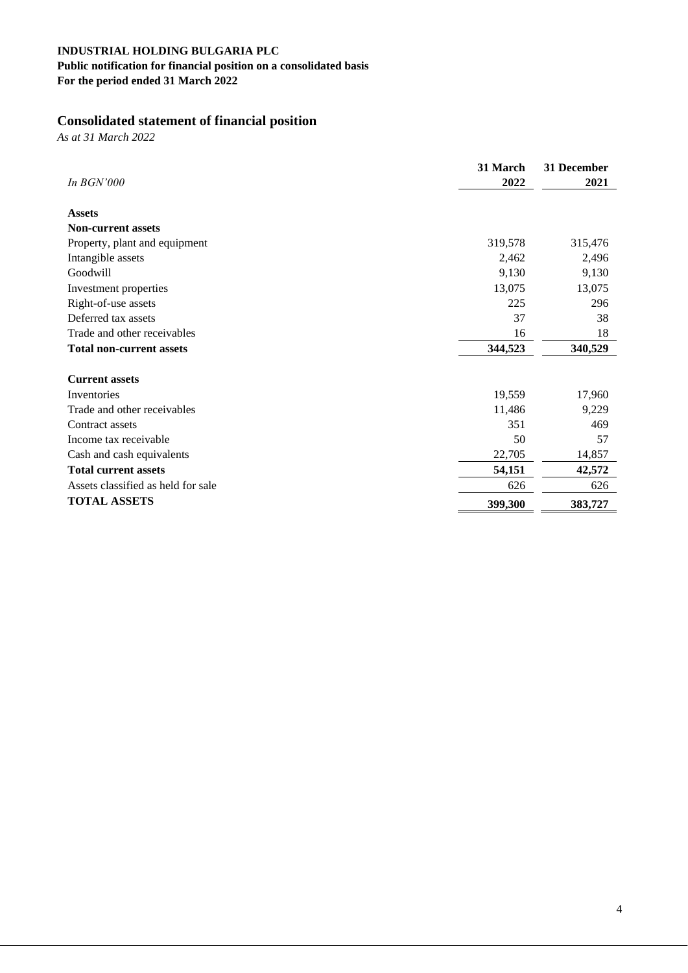# **Public notification for financial position on a consolidated basis**

**For the period ended 31 March 2022** 

# **Consolidated statement of financial position**

*As at 31 March 2022*

|                                    | 31 March | 31 December |
|------------------------------------|----------|-------------|
| In <b>BGN'000</b>                  | 2022     | 2021        |
| <b>Assets</b>                      |          |             |
| <b>Non-current assets</b>          |          |             |
| Property, plant and equipment      | 319,578  | 315,476     |
| Intangible assets                  | 2,462    | 2,496       |
| Goodwill                           | 9,130    | 9,130       |
| Investment properties              | 13,075   | 13,075      |
| Right-of-use assets                | 225      | 296         |
| Deferred tax assets                | 37       | 38          |
| Trade and other receivables        | 16       | 18          |
| <b>Total non-current assets</b>    | 344,523  | 340,529     |
|                                    |          |             |
| <b>Current assets</b>              |          |             |
| Inventories                        | 19,559   | 17,960      |
| Trade and other receivables        | 11,486   | 9,229       |
| Contract assets                    | 351      | 469         |
| Income tax receivable              | 50       | 57          |
| Cash and cash equivalents          | 22,705   | 14,857      |
| <b>Total current assets</b>        | 54,151   | 42,572      |
| Assets classified as held for sale | 626      | 626         |
| <b>TOTAL ASSETS</b>                | 399,300  | 383,727     |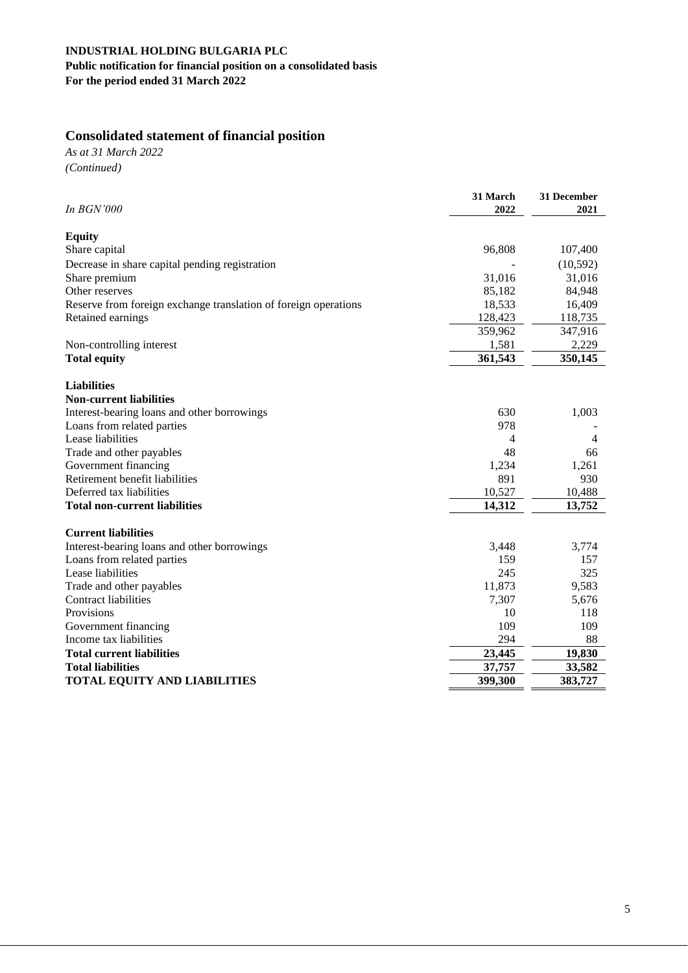# **Public notification for financial position on a consolidated basis For the period ended 31 March 2022**

# **Consolidated statement of financial position**

*As at 31 March 2022 (Continued)*

| In BGN'000                                                      | 31 March<br>2022 | 31 December<br>2021 |
|-----------------------------------------------------------------|------------------|---------------------|
|                                                                 |                  |                     |
| <b>Equity</b>                                                   |                  |                     |
| Share capital                                                   | 96,808           | 107,400             |
| Decrease in share capital pending registration                  |                  | (10, 592)           |
| Share premium                                                   | 31,016           | 31,016              |
| Other reserves                                                  | 85,182           | 84,948              |
| Reserve from foreign exchange translation of foreign operations | 18,533           | 16,409              |
| Retained earnings                                               | 128,423          | 118,735             |
|                                                                 | 359,962          | 347,916             |
| Non-controlling interest                                        | 1,581            | 2,229               |
| <b>Total equity</b>                                             | 361,543          | 350,145             |
| <b>Liabilities</b>                                              |                  |                     |
| <b>Non-current liabilities</b>                                  |                  |                     |
| Interest-bearing loans and other borrowings                     | 630              | 1,003               |
| Loans from related parties                                      | 978              |                     |
| Lease liabilities                                               | 4                | $\overline{4}$      |
| Trade and other payables                                        | 48               | 66                  |
| Government financing                                            | 1,234            | 1,261               |
| Retirement benefit liabilities                                  | 891              | 930                 |
| Deferred tax liabilities                                        | 10,527           | 10,488              |
| <b>Total non-current liabilities</b>                            | 14,312           | 13,752              |
| <b>Current liabilities</b>                                      |                  |                     |
| Interest-bearing loans and other borrowings                     | 3,448            | 3,774               |
| Loans from related parties                                      | 159              | 157                 |
| Lease liabilities                                               | 245              | 325                 |
| Trade and other payables                                        | 11,873           | 9,583               |
| <b>Contract liabilities</b>                                     | 7,307            | 5,676               |
| Provisions                                                      | 10               | 118                 |
| Government financing                                            | 109              | 109                 |
| Income tax liabilities                                          | 294              | 88                  |
| <b>Total current liabilities</b>                                | 23,445           | 19,830              |
| <b>Total liabilities</b>                                        | 37,757           | 33,582              |
| <b>TOTAL EQUITY AND LIABILITIES</b>                             | 399,300          | 383,727             |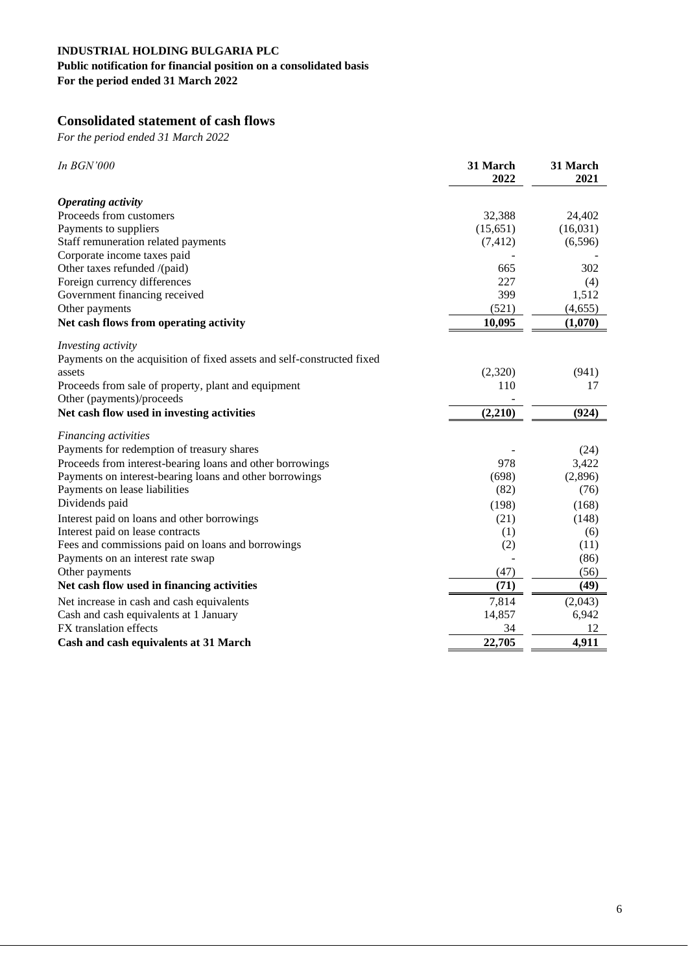# **Public notification for financial position on a consolidated basis**

**For the period ended 31 March 2022** 

# **Consolidated statement of cash flows**

| In BGN'000                                                             | 31 March<br>2022 | 31 March<br>2021 |
|------------------------------------------------------------------------|------------------|------------------|
| <b>Operating activity</b>                                              |                  |                  |
| Proceeds from customers                                                | 32,388           | 24,402           |
| Payments to suppliers                                                  | (15, 651)        | (16,031)         |
| Staff remuneration related payments                                    | (7, 412)         | (6, 596)         |
| Corporate income taxes paid                                            |                  |                  |
| Other taxes refunded /(paid)                                           | 665              | 302              |
| Foreign currency differences                                           | 227              | (4)              |
| Government financing received                                          | 399              | 1,512            |
| Other payments                                                         | (521)            | (4,655)          |
| Net cash flows from operating activity                                 | 10,095           | (1,070)          |
| Investing activity                                                     |                  |                  |
| Payments on the acquisition of fixed assets and self-constructed fixed |                  |                  |
| assets                                                                 | (2,320)          | (941)            |
| Proceeds from sale of property, plant and equipment                    | 110              | 17               |
| Other (payments)/proceeds                                              |                  |                  |
| Net cash flow used in investing activities                             | (2,210)          | (924)            |
| Financing activities                                                   |                  |                  |
| Payments for redemption of treasury shares                             |                  | (24)             |
| Proceeds from interest-bearing loans and other borrowings              | 978              | 3,422            |
| Payments on interest-bearing loans and other borrowings                | (698)            | (2,896)          |
| Payments on lease liabilities                                          | (82)             | (76)             |
| Dividends paid                                                         | (198)            | (168)            |
| Interest paid on loans and other borrowings                            | (21)             | (148)            |
| Interest paid on lease contracts                                       | (1)              | (6)              |
| Fees and commissions paid on loans and borrowings                      | (2)              | (11)             |
| Payments on an interest rate swap                                      |                  | (86)             |
| Other payments                                                         | (47)             | (56)             |
| Net cash flow used in financing activities                             | (71)             | (49)             |
| Net increase in cash and cash equivalents                              | 7,814            | (2,043)          |
| Cash and cash equivalents at 1 January                                 | 14,857           | 6,942            |
| FX translation effects                                                 | 34               | 12               |
| Cash and cash equivalents at 31 March                                  | 22,705           | 4,911            |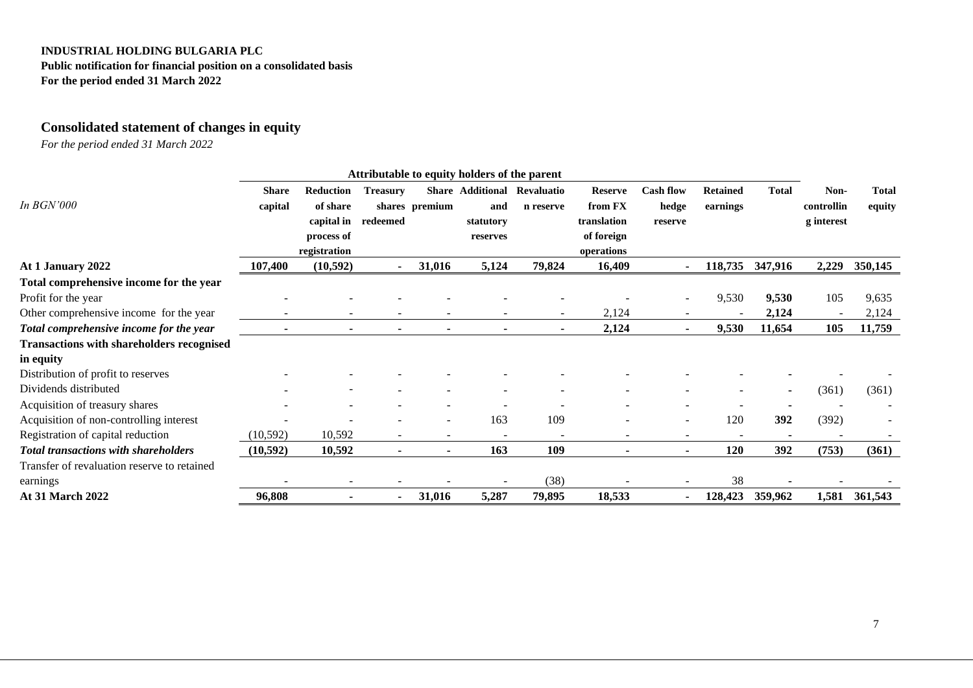**Public notification for financial position on a consolidated basis For the period ended 31 March 2022** 

# **Consolidated statement of changes in equity**

| <b>Share</b> |                  |                 |        |                         |            |                |                  |                 |                |            |              |
|--------------|------------------|-----------------|--------|-------------------------|------------|----------------|------------------|-----------------|----------------|------------|--------------|
|              | <b>Reduction</b> | <b>Treasury</b> |        | <b>Share Additional</b> | Revaluatio | <b>Reserve</b> | <b>Cash flow</b> | <b>Retained</b> | <b>Total</b>   | Non-       | <b>Total</b> |
| capital      | of share         |                 |        | and                     | n reserve  | from FX        | hedge            | earnings        |                | controllin | equity       |
|              | capital in       | redeemed        |        | statutory               |            | translation    | reserve          |                 |                | g interest |              |
|              | process of       |                 |        | reserves                |            | of foreign     |                  |                 |                |            |              |
|              | registration     |                 |        |                         |            | operations     |                  |                 |                |            |              |
| 107,400      | (10, 592)        |                 | 31,016 | 5,124                   | 79,824     | 16,409         |                  | 118,735         | 347,916        | 2,229      | 350,145      |
|              |                  |                 |        |                         |            |                |                  |                 |                |            |              |
|              |                  |                 |        |                         |            |                |                  | 9,530           | 9,530          | 105        | 9,635        |
|              |                  |                 |        |                         |            | 2,124          |                  |                 | 2,124          |            | 2,124        |
|              |                  | ٠               |        |                         |            | 2,124          |                  | 9,530           | 11,654         | 105        | 11,759       |
|              |                  |                 |        |                         |            |                |                  |                 |                |            |              |
|              |                  |                 |        |                         |            |                |                  |                 |                |            |              |
|              |                  |                 |        |                         |            |                |                  |                 |                |            |              |
|              |                  |                 |        |                         |            |                |                  |                 | $\blacksquare$ | (361)      | (361)        |
|              |                  |                 |        |                         |            |                |                  |                 |                |            |              |
|              |                  |                 |        | 163                     | 109        |                |                  | 120             | 392            | (392)      |              |
| (10, 592)    | 10,592           | $\equiv$        | $\sim$ |                         |            |                |                  |                 |                |            |              |
| (10, 592)    | 10,592           | ٠               | ٠      | 163                     | 109        | $\blacksquare$ | $\blacksquare$   | 120             | 392            | (753)      | (361)        |
|              |                  |                 |        |                         |            |                |                  |                 |                |            |              |
|              |                  |                 |        |                         | (38)       |                |                  | 38              |                |            |              |
| 96,808       |                  |                 | 31,016 | 5,287                   | 79,895     | 18,533         |                  | 128,423         | 359,962        | 1,581      | 361,543      |
|              |                  |                 |        | shares premium          |            |                |                  |                 |                |            |              |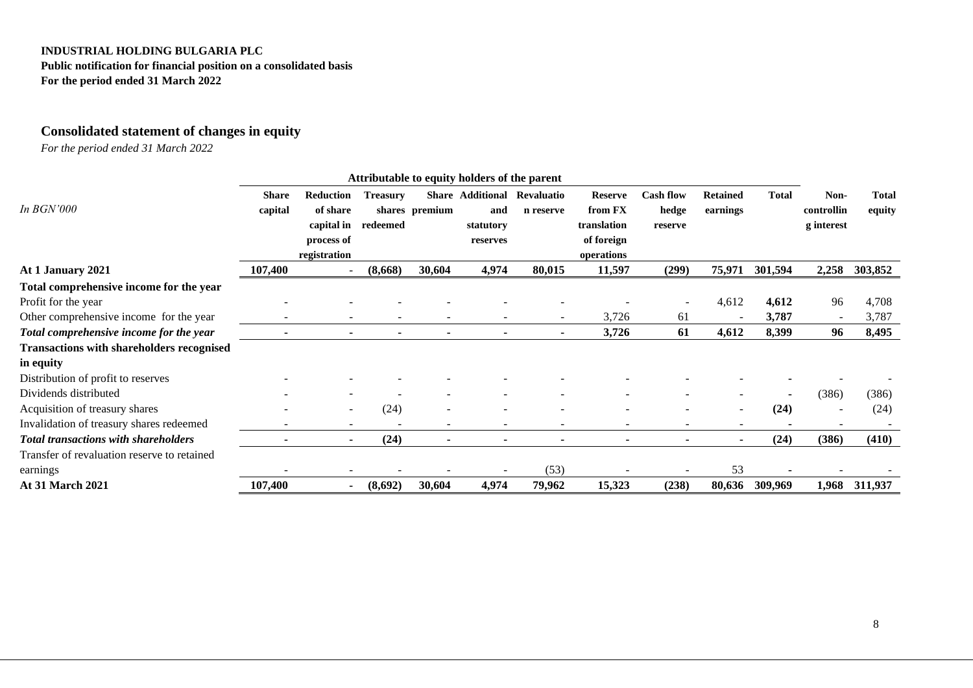**Public notification for financial position on a consolidated basis For the period ended 31 March 2022** 

# **Consolidated statement of changes in equity**

|                                                  |              |                          |                 |                          | Attributable to equity holders of the parent |            |                |                          |                 |              |            |              |
|--------------------------------------------------|--------------|--------------------------|-----------------|--------------------------|----------------------------------------------|------------|----------------|--------------------------|-----------------|--------------|------------|--------------|
|                                                  | <b>Share</b> | <b>Reduction</b>         | <b>Treasury</b> |                          | <b>Share Additional</b>                      | Revaluatio | <b>Reserve</b> | <b>Cash flow</b>         | <b>Retained</b> | <b>Total</b> | Non-       | <b>Total</b> |
| In <b>BGN'000</b>                                | capital      | of share                 |                 | shares premium           | and                                          | n reserve  | from FX        | hedge                    | earnings        |              | controllin | equity       |
|                                                  |              | capital in               | redeemed        |                          | statutory                                    |            | translation    | reserve                  |                 |              | g interest |              |
|                                                  |              | process of               |                 |                          | reserves                                     |            | of foreign     |                          |                 |              |            |              |
|                                                  |              | registration             |                 |                          |                                              |            | operations     |                          |                 |              |            |              |
| At 1 January 2021                                | 107,400      |                          | (8,668)         | 30,604                   | 4,974                                        | 80,015     | 11,597         | (299)                    | 75,971          | 301,594      | 2,258      | 303,852      |
| Total comprehensive income for the year          |              |                          |                 |                          |                                              |            |                |                          |                 |              |            |              |
| Profit for the year                              |              |                          |                 |                          |                                              |            |                |                          | 4,612           | 4,612        | 96         | 4,708        |
| Other comprehensive income for the year          |              |                          |                 |                          |                                              |            | 3,726          | 61                       |                 | 3,787        |            | 3,787        |
| Total comprehensive income for the year          |              | ۰                        |                 | $\blacksquare$           |                                              |            | 3,726          | 61                       | 4,612           | 8,399        | 96         | 8,495        |
| <b>Transactions with shareholders recognised</b> |              |                          |                 |                          |                                              |            |                |                          |                 |              |            |              |
| in equity                                        |              |                          |                 |                          |                                              |            |                |                          |                 |              |            |              |
| Distribution of profit to reserves               |              |                          |                 |                          |                                              |            |                |                          |                 |              |            |              |
| Dividends distributed                            |              |                          |                 |                          |                                              |            |                |                          |                 |              | (386)      | (386)        |
| Acquisition of treasury shares                   |              | $\overline{\phantom{a}}$ | (24)            |                          |                                              |            |                |                          |                 | (24)         |            | (24)         |
| Invalidation of treasury shares redeemed         |              | $\sim$                   |                 | $\overline{\phantom{0}}$ | $\overline{\phantom{a}}$                     |            |                | $\overline{\phantom{a}}$ |                 |              |            |              |
| <b>Total transactions with shareholders</b>      |              |                          | (24)            | ٠                        |                                              |            |                |                          |                 | (24)         | (386)      | (410)        |
| Transfer of revaluation reserve to retained      |              |                          |                 |                          |                                              |            |                |                          |                 |              |            |              |
| earnings                                         |              |                          |                 |                          |                                              | (53)       |                |                          | 53              |              |            |              |
| <b>At 31 March 2021</b>                          | 107,400      |                          | (8,692)         | 30,604                   | 4,974                                        | 79,962     | 15,323         | (238)                    | 80,636          | 309,969      | 1,968      | 311,937      |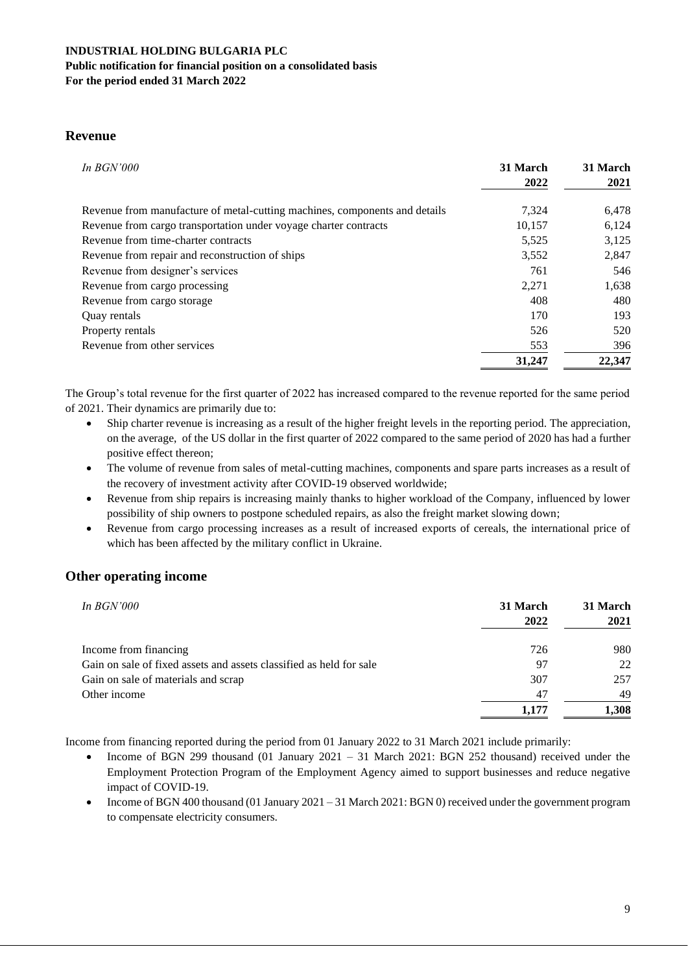#### **Public notification for financial position on a consolidated basis For the period ended 31 March 2022**

**Revenue**

| In $BGN'000$                                                               | 31 March | 31 March |
|----------------------------------------------------------------------------|----------|----------|
|                                                                            | 2022     | 2021     |
| Revenue from manufacture of metal-cutting machines, components and details | 7,324    | 6,478    |
| Revenue from cargo transportation under voyage charter contracts           | 10,157   | 6,124    |
| Revenue from time-charter contracts                                        | 5,525    | 3,125    |
| Revenue from repair and reconstruction of ships                            | 3,552    | 2,847    |
| Revenue from designer's services                                           | 761      | 546      |
| Revenue from cargo processing                                              | 2,271    | 1,638    |
| Revenue from cargo storage                                                 | 408      | 480      |
| Quay rentals                                                               | 170      | 193      |
| Property rentals                                                           | 526      | 520      |
| Revenue from other services                                                | 553      | 396      |
|                                                                            | 31,247   | 22,347   |

The Group's total revenue for the first quarter of 2022 has increased compared to the revenue reported for the same period of 2021. Their dynamics are primarily due to:

- Ship charter revenue is increasing as a result of the higher freight levels in the reporting period. The appreciation, on the average, of the US dollar in the first quarter of 2022 compared to the same period of 2020 has had a further positive effect thereon;
- The volume of revenue from sales of metal-cutting machines, components and spare parts increases as a result of the recovery of investment activity after COVID-19 observed worldwide;
- Revenue from ship repairs is increasing mainly thanks to higher workload of the Company, influenced by lower possibility of ship owners to postpone scheduled repairs, as also the freight market slowing down;
- Revenue from cargo processing increases as a result of increased exports of cereals, the international price of which has been affected by the military conflict in Ukraine.

# **Other operating income**

| In $BGN'000$                                                        | 31 March<br>2022 | 31 March<br>2021 |
|---------------------------------------------------------------------|------------------|------------------|
| Income from financing                                               | 726              | 980              |
| Gain on sale of fixed assets and assets classified as held for sale | 97               | 22               |
| Gain on sale of materials and scrap                                 | 307              | 257              |
| Other income                                                        | 47               | 49               |
|                                                                     | 1,177            | 1,308            |

Income from financing reported during the period from 01 January 2022 to 31 March 2021 include primarily:

- Income of BGN 299 thousand (01 January 2021 31 March 2021: BGN 252 thousand) received under the Employment Protection Program of the Employment Agency aimed to support businesses and reduce negative impact of COVID-19.
- Income of BGN 400 thousand (01 January 2021 31 March 2021: BGN 0) received under the government program to compensate electricity consumers.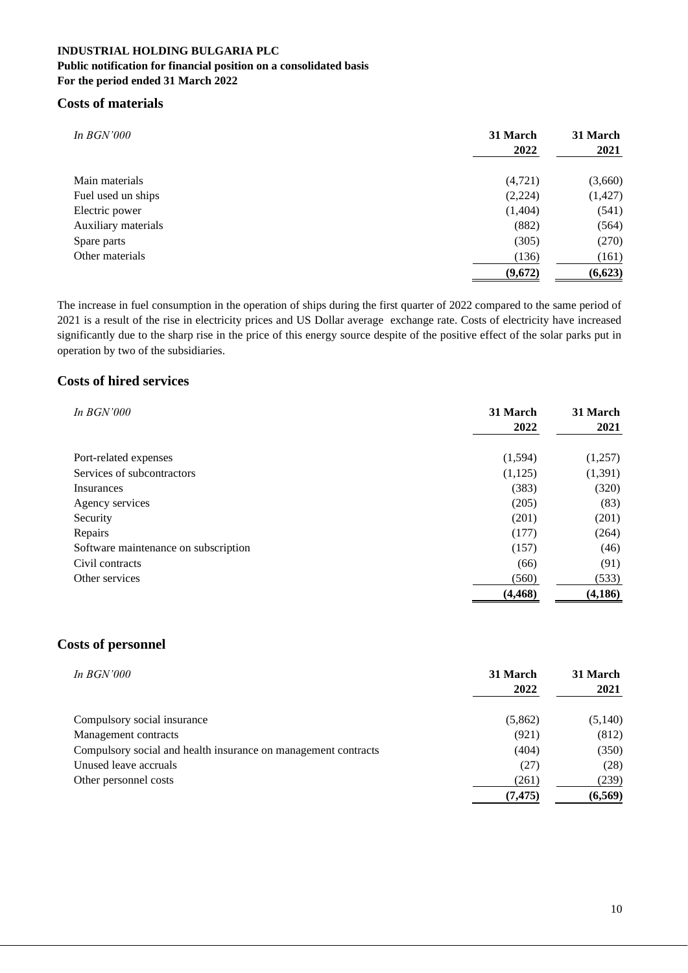## **Public notification for financial position on a consolidated basis For the period ended 31 March 2022**

# **Costs of materials**

| <i>In BGN'000</i>   | 31 March<br>2022 | 31 March<br>2021 |
|---------------------|------------------|------------------|
| Main materials      | (4,721)          | (3,660)          |
| Fuel used un ships  | (2,224)          | (1, 427)         |
| Electric power      | (1,404)          | (541)            |
| Auxiliary materials | (882)            | (564)            |
| Spare parts         | (305)            | (270)            |
| Other materials     | (136)            | (161)            |
|                     | (9,672)          | (6,623)          |

The increase in fuel consumption in the operation of ships during the first quarter of 2022 compared to the same period of 2021 is a result of the rise in electricity prices and US Dollar average exchange rate. Costs of electricity have increased significantly due to the sharp rise in the price of this energy source despite of the positive effect of the solar parks put in operation by two of the subsidiaries.

# **Costs of hired services**

| In $BGN'000$                         | 31 March | 31 March |
|--------------------------------------|----------|----------|
|                                      | 2022     | 2021     |
|                                      |          |          |
| Port-related expenses                | (1,594)  | (1,257)  |
| Services of subcontractors           | (1, 125) | (1,391)  |
| Insurances                           | (383)    | (320)    |
| Agency services                      | (205)    | (83)     |
| Security                             | (201)    | (201)    |
| Repairs                              | (177)    | (264)    |
| Software maintenance on subscription | (157)    | (46)     |
| Civil contracts                      | (66)     | (91)     |
| Other services                       | (560)    | (533)    |
|                                      | (4, 468) | (4,186)  |

# **Costs of personnel**

| <i>In BGN'000</i>                                              | 31 March<br>2022 | 31 March<br>2021 |
|----------------------------------------------------------------|------------------|------------------|
|                                                                |                  |                  |
| Compulsory social insurance                                    | (5,862)          | (5,140)          |
| Management contracts                                           | (921)            | (812)            |
| Compulsory social and health insurance on management contracts | (404)            | (350)            |
| Unused leave accruals                                          | (27)             | (28)             |
| Other personnel costs                                          | (261)            | (239)            |
|                                                                | (7, 475)         | (6, 569)         |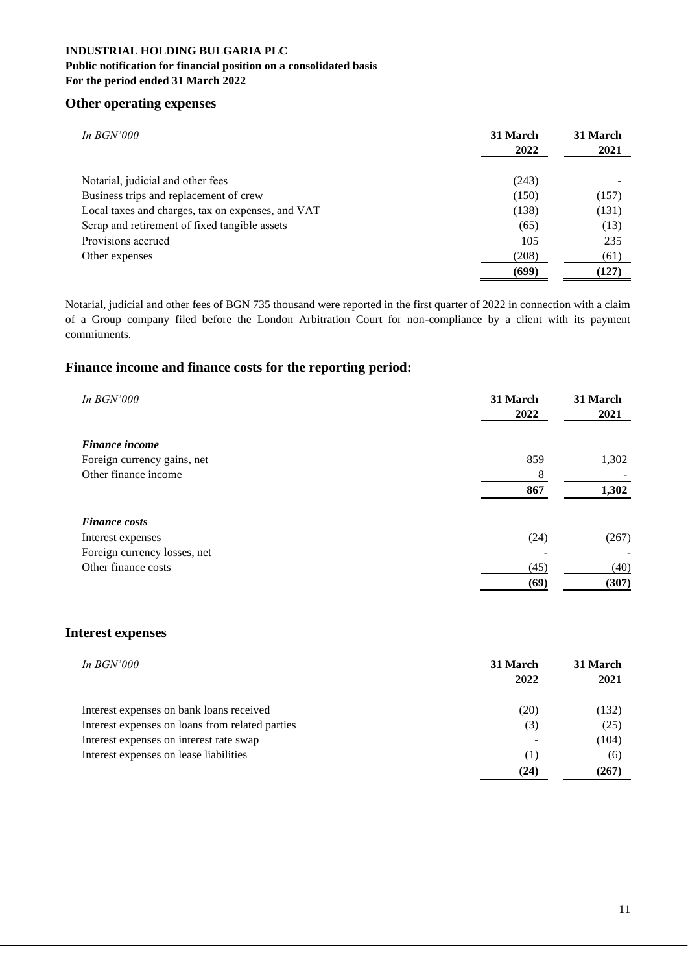## **Public notification for financial position on a consolidated basis For the period ended 31 March 2022**

# **Other operating expenses**

| In $BGN'000$                                      | 31 March<br>2022 | 31 March<br>2021 |
|---------------------------------------------------|------------------|------------------|
| Notarial, judicial and other fees                 | (243)            |                  |
| Business trips and replacement of crew            | (150)            | (157)            |
| Local taxes and charges, tax on expenses, and VAT | (138)            | (131)            |
| Scrap and retirement of fixed tangible assets     | (65)             | (13)             |
| Provisions accrued                                | 105              | 235              |
| Other expenses                                    | (208)            | (61)             |
|                                                   | (699)            | (127)            |

Notarial, judicial and other fees of BGN 735 thousand were reported in the first quarter of 2022 in connection with a claim of a Group company filed before the London Arbitration Court for non-compliance by a client with its payment commitments.

# **Finance income and finance costs for the reporting period:**

| <i>In BGN'000</i>            | 31 March<br>2022 | 31 March<br>2021 |
|------------------------------|------------------|------------------|
| <b>Finance income</b>        |                  |                  |
| Foreign currency gains, net  | 859              | 1,302            |
| Other finance income         | 8                |                  |
|                              | 867              | 1,302            |
| <b>Finance costs</b>         |                  |                  |
| Interest expenses            | (24)             | (267)            |
| Foreign currency losses, net |                  |                  |
| Other finance costs          | (45)             | (40)             |
|                              | (69)             | (307)            |

# **Interest expenses**

| In $BGN'000$                                    | 31 March<br>2022 | 31 March<br>2021 |
|-------------------------------------------------|------------------|------------------|
|                                                 |                  |                  |
| Interest expenses on bank loans received        | (20)             | (132)            |
| Interest expenses on loans from related parties | (3)              | (25)             |
| Interest expenses on interest rate swap         |                  | (104)            |
| Interest expenses on lease liabilities          |                  | (6)              |
|                                                 | (24)             | (267)            |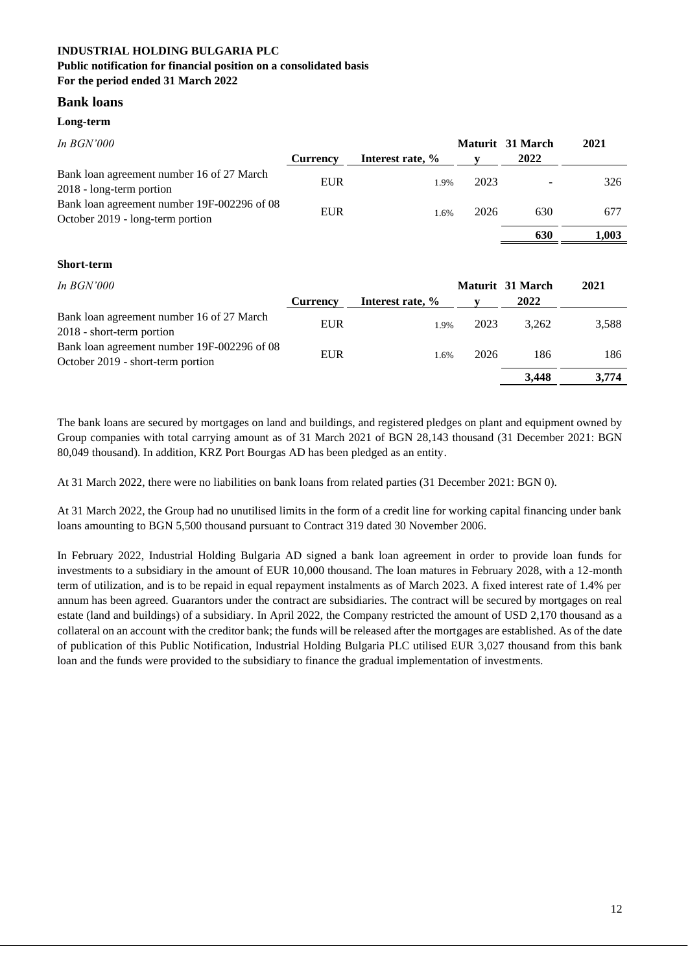## **Bank loans**

#### **Long-term**

| <i>In BGN'000</i>                           |                 |                  |      | Maturit 31 March | 2021  |
|---------------------------------------------|-----------------|------------------|------|------------------|-------|
|                                             | <b>Currency</b> | Interest rate, % |      | 2022             |       |
| Bank loan agreement number 16 of 27 March   |                 |                  | 2023 |                  | 326   |
| 2018 - long-term portion                    | <b>EUR</b>      | 1.9%             |      |                  |       |
| Bank loan agreement number 19F-002296 of 08 | <b>EUR</b>      |                  |      |                  |       |
| October 2019 - long-term portion            |                 | 1.6%             | 2026 | 630              | 677   |
|                                             |                 |                  |      | 630              | 1.003 |

#### **Short-term**

| In BGN'000 |  |
|------------|--|
|            |  |

| In $BGN'000$                                |                 |                  |      | Maturit 31 March | 2021  |
|---------------------------------------------|-----------------|------------------|------|------------------|-------|
|                                             | <b>Currency</b> | Interest rate, % |      | 2022             |       |
| Bank loan agreement number 16 of 27 March   | <b>EUR</b>      | 1.9%             | 2023 | 3.262            | 3,588 |
| 2018 - short-term portion                   |                 |                  |      |                  |       |
| Bank loan agreement number 19F-002296 of 08 | <b>EUR</b>      |                  | 2026 |                  | 186   |
| October 2019 - short-term portion           |                 | 1.6%             |      | 186              |       |
|                                             |                 |                  |      | 3,448            | 3.774 |

The bank loans are secured by mortgages on land and buildings, and registered pledges on plant and equipment owned by Group companies with total carrying amount as of 31 March 2021 of BGN 28,143 thousand (31 December 2021: BGN 80,049 thousand). In addition, KRZ Port Bourgas AD has been pledged as an entity.

At 31 March 2022, there were no liabilities on bank loans from related parties (31 December 2021: BGN 0).

At 31 March 2022, the Group had no unutilised limits in the form of a credit line for working capital financing under bank loans amounting to BGN 5,500 thousand pursuant to Contract 319 dated 30 November 2006.

In February 2022, Industrial Holding Bulgaria AD signed a bank loan agreement in order to provide loan funds for investments to a subsidiary in the amount of EUR 10,000 thousand. The loan matures in February 2028, with a 12-month term of utilization, and is to be repaid in equal repayment instalments as of March 2023. A fixed interest rate of 1.4% per annum has been agreed. Guarantors under the contract are subsidiaries. The contract will be secured by mortgages on real estate (land and buildings) of a subsidiary. In April 2022, the Company restricted the amount of USD 2,170 thousand as a collateral on an account with the creditor bank; the funds will be released after the mortgages are established. As of the date of publication of this Public Notification, Industrial Holding Bulgaria PLC utilised EUR 3,027 thousand from this bank loan and the funds were provided to the subsidiary to finance the gradual implementation of investments.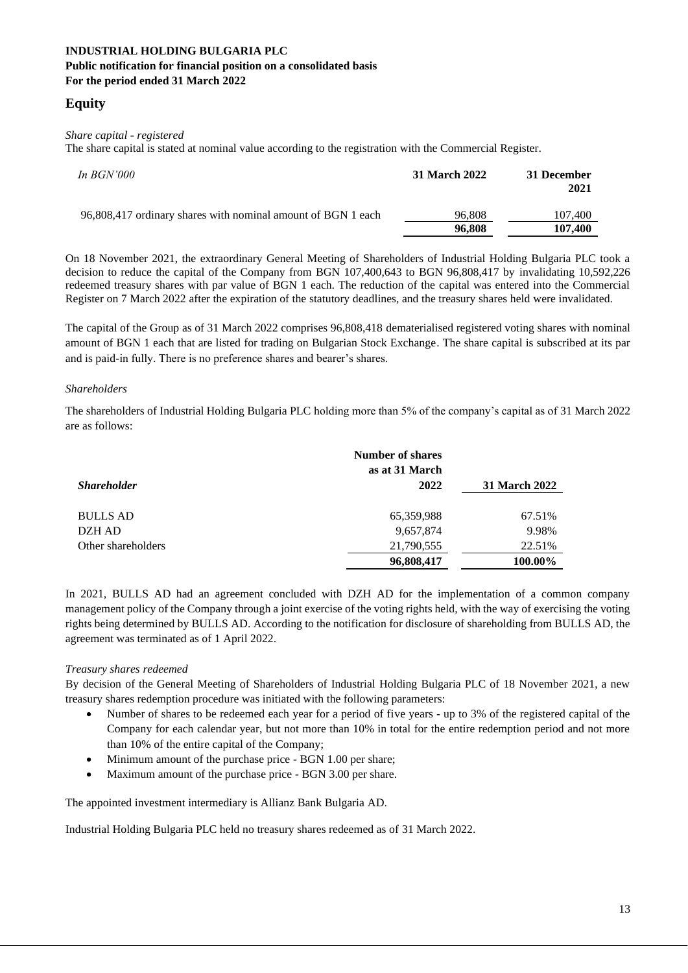# **Equity**

### *Share capital - registered*

The share capital is stated at nominal value according to the registration with the Commercial Register.

| In $BGN'000$                                                 | 31 March 2022    | 31 December<br>2021 |
|--------------------------------------------------------------|------------------|---------------------|
| 96,808,417 ordinary shares with nominal amount of BGN 1 each | 96.808<br>96,808 | 107,400<br>107,400  |

On 18 November 2021, the extraordinary General Meeting of Shareholders of Industrial Holding Bulgaria PLC took a decision to reduce the capital of the Company from BGN 107,400,643 to BGN 96,808,417 by invalidating 10,592,226 redeemed treasury shares with par value of BGN 1 each. The reduction of the capital was entered into the Commercial Register on 7 March 2022 after the expiration of the statutory deadlines, and the treasury shares held were invalidated.

The capital of the Group as of 31 March 2022 comprises 96,808,418 dematerialised registered voting shares with nominal amount of BGN 1 each that are listed for trading on Bulgarian Stock Exchange. The share capital is subscribed at its par and is paid-in fully. There is no preference shares and bearer's shares.

### *Shareholders*

The shareholders of Industrial Holding Bulgaria PLC holding more than 5% of the company's capital as of 31 March 2022 are as follows:

|                    | <b>Number of shares</b><br>as at 31 March |               |
|--------------------|-------------------------------------------|---------------|
| <b>Shareholder</b> | 2022                                      | 31 March 2022 |
| <b>BULLS AD</b>    | 65,359,988                                | 67.51%        |
| DZH AD             | 9,657,874                                 | 9.98%         |
| Other shareholders | 21,790,555                                | 22.51%        |
|                    | 96,808,417                                | 100.00%       |

In 2021, BULLS AD had an agreement concluded with DZH AD for the implementation of a common company management policy of the Company through a joint exercise of the voting rights held, with the way of exercising the voting rights being determined by BULLS AD. According to the notification for disclosure of shareholding from BULLS AD, the agreement was terminated as of 1 April 2022.

## *Treasury shares redeemed*

By decision of the General Meeting of Shareholders of Industrial Holding Bulgaria PLC of 18 November 2021, a new treasury shares redemption procedure was initiated with the following parameters:

- Number of shares to be redeemed each year for a period of five years up to 3% of the registered capital of the Company for each calendar year, but not more than 10% in total for the entire redemption period and not more than 10% of the entire capital of the Company;
- Minimum amount of the purchase price BGN 1.00 per share;
- Maximum amount of the purchase price BGN 3.00 per share.

The appointed investment intermediary is Allianz Bank Bulgaria AD.

Industrial Holding Bulgaria PLC held no treasury shares redeemed as of 31 March 2022.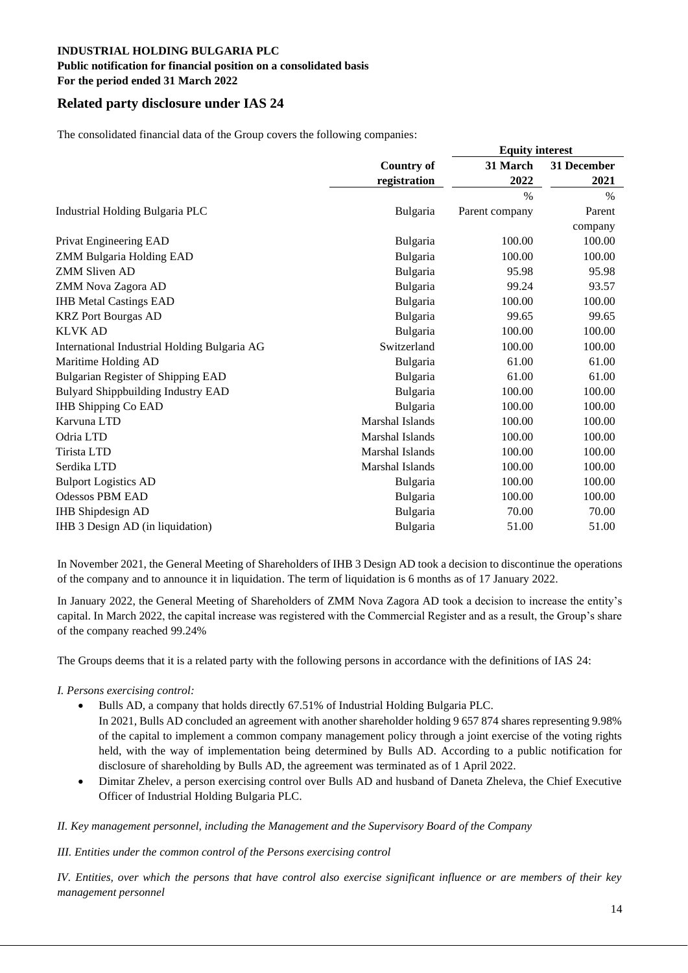# **Public notification for financial position on a consolidated basis**

**For the period ended 31 March 2022** 

# **Related party disclosure under IAS 24**

The consolidated financial data of the Group covers the following companies:

|                                              |                   | <b>Equity interest</b> |               |  |
|----------------------------------------------|-------------------|------------------------|---------------|--|
|                                              | <b>Country of</b> | 31 March               | 31 December   |  |
|                                              | registration      | 2022                   | 2021          |  |
|                                              |                   | $\%$                   | $\frac{0}{0}$ |  |
| Industrial Holding Bulgaria PLC              | Bulgaria          | Parent company         | Parent        |  |
|                                              |                   |                        | company       |  |
| Privat Engineering EAD                       | Bulgaria          | 100.00                 | 100.00        |  |
| ZMM Bulgaria Holding EAD                     | Bulgaria          | 100.00                 | 100.00        |  |
| <b>ZMM Sliven AD</b>                         | Bulgaria          | 95.98                  | 95.98         |  |
| ZMM Nova Zagora AD                           | Bulgaria          | 99.24                  | 93.57         |  |
| <b>IHB Metal Castings EAD</b>                | Bulgaria          | 100.00                 | 100.00        |  |
| <b>KRZ</b> Port Bourgas AD                   | Bulgaria          | 99.65                  | 99.65         |  |
| <b>KLVK AD</b>                               | Bulgaria          | 100.00                 | 100.00        |  |
| International Industrial Holding Bulgaria AG | Switzerland       | 100.00                 | 100.00        |  |
| Maritime Holding AD                          | Bulgaria          | 61.00                  | 61.00         |  |
| Bulgarian Register of Shipping EAD           | Bulgaria          | 61.00                  | 61.00         |  |
| <b>Bulyard Shippbuilding Industry EAD</b>    | Bulgaria          | 100.00                 | 100.00        |  |
| <b>IHB Shipping Co EAD</b>                   | Bulgaria          | 100.00                 | 100.00        |  |
| Karvuna LTD                                  | Marshal Islands   | 100.00                 | 100.00        |  |
| Odria LTD                                    | Marshal Islands   | 100.00                 | 100.00        |  |
| Tirista LTD                                  | Marshal Islands   | 100.00                 | 100.00        |  |
| Serdika LTD                                  | Marshal Islands   | 100.00                 | 100.00        |  |
| <b>Bulport Logistics AD</b>                  | <b>Bulgaria</b>   | 100.00                 | 100.00        |  |
| <b>Odessos PBM EAD</b>                       | Bulgaria          | 100.00                 | 100.00        |  |
| <b>IHB</b> Shipdesign AD                     | Bulgaria          | 70.00                  | 70.00         |  |
| IHB 3 Design AD (in liquidation)             | Bulgaria          | 51.00                  | 51.00         |  |

In November 2021, the General Meeting of Shareholders of IHB 3 Design AD took a decision to discontinue the operations of the company and to announce it in liquidation. The term of liquidation is 6 months as of 17 January 2022.

In January 2022, the General Meeting of Shareholders of ZMM Nova Zagora AD took a decision to increase the entity's capital. In March 2022, the capital increase was registered with the Commercial Register and as a result, the Group's share of the company reached 99.24%

The Groups deems that it is a related party with the following persons in accordance with the definitions of IAS 24:

## *I. Persons exercising control:*

- Bulls AD, a company that holds directly 67.51% of Industrial Holding Bulgaria PLC. In 2021, Bulls AD concluded an agreement with another shareholder holding 9 657 874 shares representing 9.98% of the capital to implement a common company management policy through a joint exercise of the voting rights held, with the way of implementation being determined by Bulls AD. According to a public notification for disclosure of shareholding by Bulls AD, the agreement was terminated as of 1 April 2022.
- Dimitar Zhelev, a person exercising control over Bulls AD and husband of Daneta Zheleva, the Chief Executive Officer of Industrial Holding Bulgaria PLC.
- *II. Key management personnel, including the Management and the Supervisory Board of the Company*

## *III. Entities under the common control of the Persons exercising control*

*IV. Entities, over which the persons that have control also exercise significant influence or are members of their key management personnel*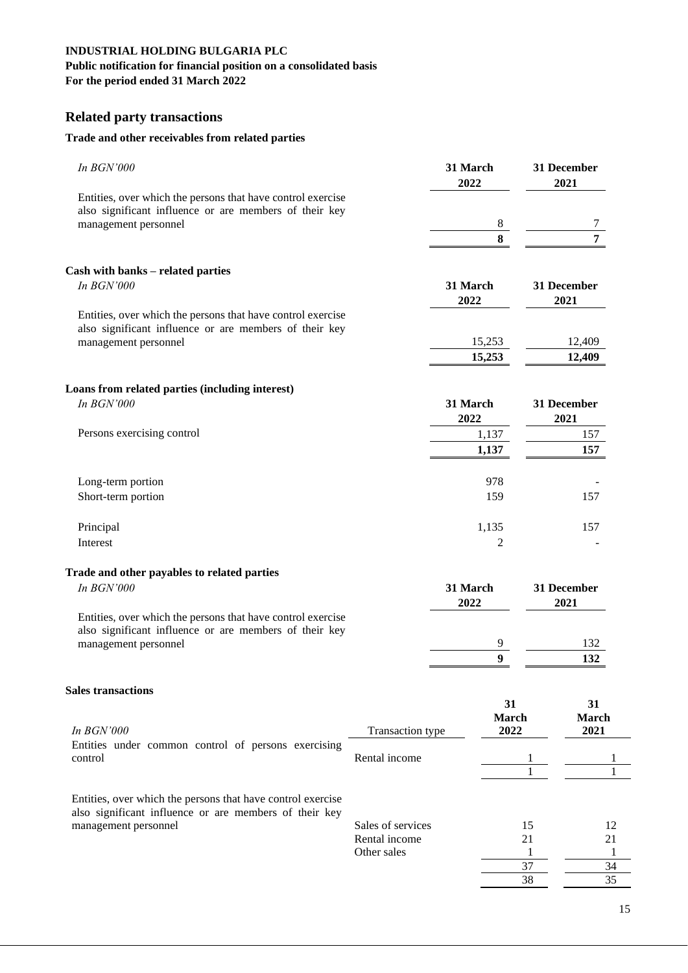# **Public notification for financial position on a consolidated basis**

**For the period ended 31 March 2022** 

# **Related party transactions**

# **Trade and other receivables from related parties**

| In <b>BGN'000</b>                                                                                                                             |                              | 31 March<br>2022      | 31 December<br>2021 |                  |
|-----------------------------------------------------------------------------------------------------------------------------------------------|------------------------------|-----------------------|---------------------|------------------|
| Entities, over which the persons that have control exercise<br>also significant influence or are members of their key<br>management personnel |                              | 8                     |                     |                  |
|                                                                                                                                               |                              | 8                     |                     |                  |
| Cash with banks - related parties                                                                                                             |                              |                       |                     |                  |
| In BGN'000                                                                                                                                    |                              | 31 March<br>2022      | 31 December<br>2021 |                  |
| Entities, over which the persons that have control exercise<br>also significant influence or are members of their key                         |                              |                       |                     |                  |
| management personnel                                                                                                                          |                              | 15,253<br>15,253      |                     | 12,409<br>12,409 |
| Loans from related parties (including interest)                                                                                               |                              |                       |                     |                  |
| In BGN'000                                                                                                                                    |                              | 31 March<br>2022      | 31 December<br>2021 |                  |
| Persons exercising control                                                                                                                    |                              | 1,137                 |                     | 157              |
|                                                                                                                                               |                              | 1,137                 |                     | 157              |
| Long-term portion                                                                                                                             |                              | 978                   |                     |                  |
| Short-term portion                                                                                                                            |                              | 159                   |                     | 157              |
| Principal                                                                                                                                     |                              | 1,135                 |                     | 157              |
| Interest                                                                                                                                      |                              | $\overline{c}$        |                     |                  |
| Trade and other payables to related parties<br>In BGN'000                                                                                     |                              | 31 March              | 31 December         |                  |
|                                                                                                                                               |                              | 2022                  | 2021                |                  |
| Entities, over which the persons that have control exercise<br>also significant influence or are members of their key                         |                              |                       |                     |                  |
| management personnel                                                                                                                          |                              | 9<br>$\boldsymbol{9}$ |                     | 132<br>132       |
|                                                                                                                                               |                              |                       |                     |                  |
| <b>Sales transactions</b>                                                                                                                     |                              |                       |                     | 31               |
| In BGN'000                                                                                                                                    | Transaction type             | 31<br>March<br>2022   |                     | March<br>2021    |
| Entities under common control of persons exercising<br>control                                                                                | Rental income                |                       |                     |                  |
| Entities, over which the persons that have control exercise                                                                                   |                              |                       |                     |                  |
| also significant influence or are members of their key<br>management personnel                                                                | Sales of services            |                       | 15                  | 12               |
|                                                                                                                                               | Rental income<br>Other sales |                       | 21<br>1             | 21<br>1          |
|                                                                                                                                               |                              |                       | 37<br>38            | 34<br>35         |
|                                                                                                                                               |                              |                       |                     |                  |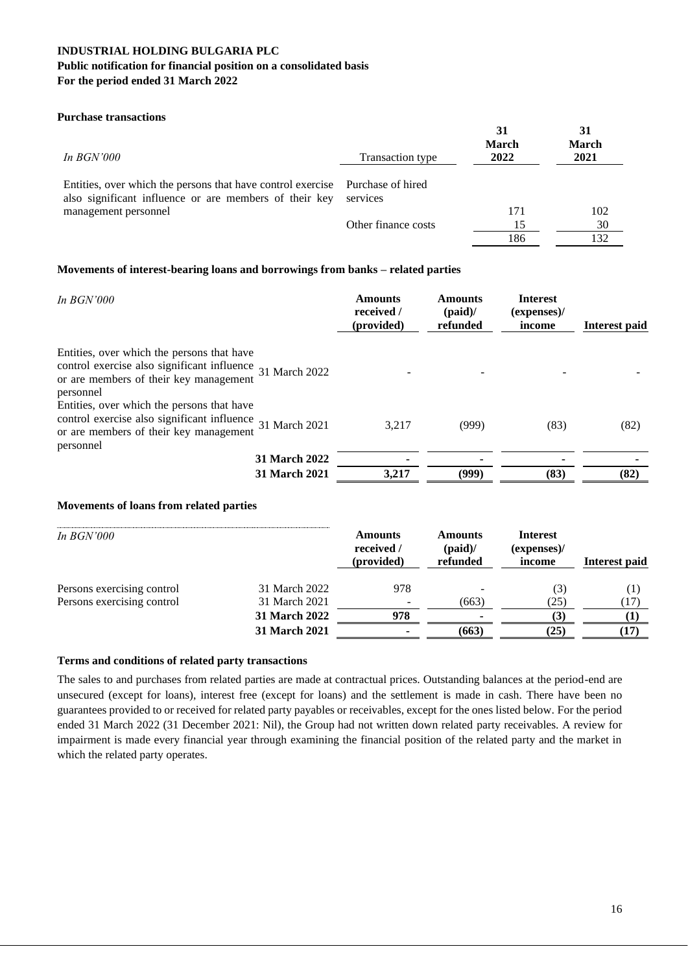#### **Purchase transactions**

| In $BGN'000$                                                                                                                            | <b>Transaction type</b> | 31<br><b>March</b><br>2022 | 31<br><b>March</b><br>2021 |
|-----------------------------------------------------------------------------------------------------------------------------------------|-------------------------|----------------------------|----------------------------|
| Entities, over which the persons that have control exercise Purchase of hired<br>also significant influence or are members of their key | services                |                            |                            |
| management personnel                                                                                                                    |                         | 171                        | 102                        |
|                                                                                                                                         | Other finance costs     | 15                         | 30                         |
|                                                                                                                                         |                         | 186                        |                            |

#### **Movements of interest-bearing loans and borrowings from banks – related parties**

| In $BGN'000$                                                                                                                                                   |                      | <b>Amounts</b><br>received /<br>(provided) | <b>Amounts</b><br>(paid) $/$<br>refunded | <b>Interest</b><br>(expenses)<br>income | Interest paid |
|----------------------------------------------------------------------------------------------------------------------------------------------------------------|----------------------|--------------------------------------------|------------------------------------------|-----------------------------------------|---------------|
| Entities, over which the persons that have<br>control exercise also significant influence 31 March 2022<br>or are members of their key management<br>personnel |                      |                                            |                                          |                                         |               |
| Entities, over which the persons that have<br>control exercise also significant influence 31 March 2021<br>or are members of their key management<br>personnel |                      | 3.217                                      | (999)                                    | (83)                                    | (82)          |
|                                                                                                                                                                | 31 March 2022        |                                            |                                          |                                         |               |
|                                                                                                                                                                | <b>31 March 2021</b> | 3,217                                      | (999)                                    | (83)                                    | (82)          |

#### **Movements of loans from related parties**

| <i>In BGN'000</i>          |                      | <b>Amounts</b><br>received /<br>(provided) | <b>Amounts</b><br>(paid) $/$<br>refunded | <b>Interest</b><br>$(expenses)$ /<br>income | Interest paid    |
|----------------------------|----------------------|--------------------------------------------|------------------------------------------|---------------------------------------------|------------------|
| Persons exercising control | 31 March 2022        | 978                                        |                                          | (3)                                         | $\left(1\right)$ |
| Persons exercising control | 31 March 2021        | $\overline{\phantom{a}}$                   | (663)                                    | (25)                                        | (17)             |
|                            | <b>31 March 2022</b> | 978                                        | ۰                                        | 3)                                          | $\bf(1)$         |
|                            | <b>31 March 2021</b> |                                            | (663)                                    | (25)                                        | (17)             |

#### **Terms and conditions of related party transactions**

The sales to and purchases from related parties are made at contractual prices. Outstanding balances at the period-end are unsecured (except for loans), interest free (except for loans) and the settlement is made in cash. There have been no guarantees provided to or received for related party payables or receivables, except for the ones listed below. For the period ended 31 March 2022 (31 December 2021: Nil), the Group had not written down related party receivables. A review for impairment is made every financial year through examining the financial position of the related party and the market in which the related party operates.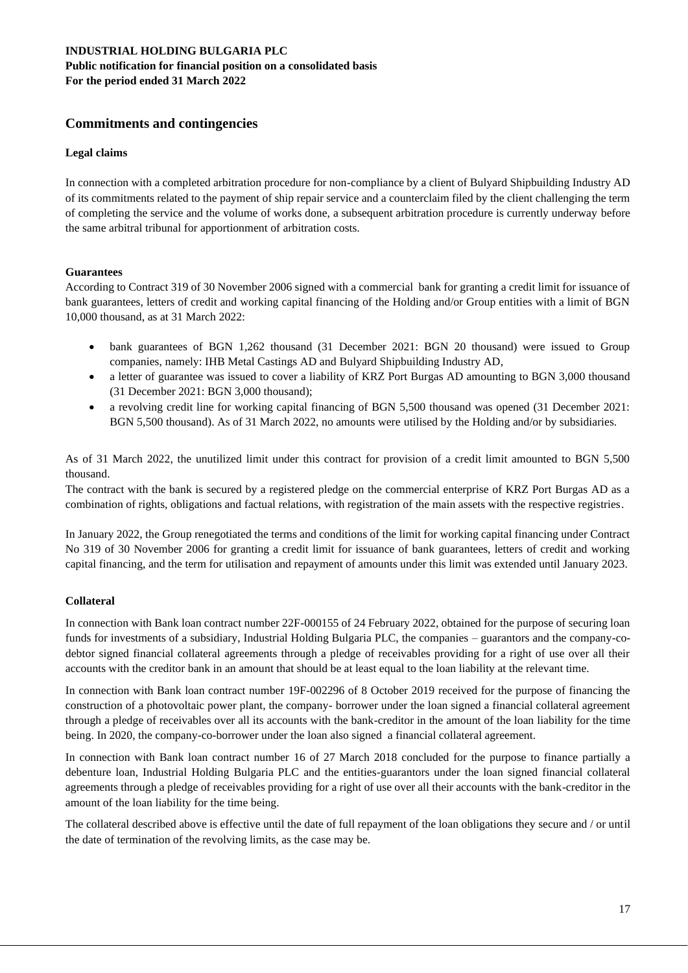# **Commitments and contingencies**

### **Legal claims**

In connection with a completed arbitration procedure for non-compliance by a client of Bulyard Shipbuilding Industry AD of its commitments related to the payment of ship repair service and a counterclaim filed by the client challenging the term of completing the service and the volume of works done, a subsequent arbitration procedure is currently underway before the same arbitral tribunal for apportionment of arbitration costs.

### **Guarantees**

According to Contract 319 of 30 November 2006 signed with a commercial bank for granting a credit limit for issuance of bank guarantees, letters of credit and working capital financing of the Holding and/or Group entities with a limit of BGN 10,000 thousand, as at 31 March 2022:

- bank guarantees of BGN 1,262 thousand (31 December 2021: BGN 20 thousand) were issued to Group companies, namely: IHB Metal Castings AD and Bulyard Shipbuilding Industry AD,
- a letter of guarantee was issued to cover a liability of KRZ Port Burgas AD amounting to BGN 3,000 thousand (31 December 2021: BGN 3,000 thousand);
- a revolving credit line for working capital financing of BGN 5,500 thousand was opened (31 December 2021: BGN 5,500 thousand). As of 31 March 2022, no amounts were utilised by the Holding and/or by subsidiaries.

As of 31 March 2022, the unutilized limit under this contract for provision of a credit limit amounted to BGN 5,500 thousand.

The contract with the bank is secured by a registered pledge on the commercial enterprise of KRZ Port Burgas AD as a combination of rights, obligations and factual relations, with registration of the main assets with the respective registries.

In January 2022, the Group renegotiated the terms and conditions of the limit for working capital financing under Contract No 319 of 30 November 2006 for granting a credit limit for issuance of bank guarantees, letters of credit and working capital financing, and the term for utilisation and repayment of amounts under this limit was extended until January 2023.

## **Collateral**

In connection with Bank loan contract number 22F-000155 of 24 February 2022, obtained for the purpose of securing loan funds for investments of a subsidiary, Industrial Holding Bulgaria PLC, the companies – guarantors and the company-codebtor signed financial collateral agreements through a pledge of receivables providing for a right of use over all their accounts with the creditor bank in an amount that should be at least equal to the loan liability at the relevant time.

In connection with Bank loan contract number 19F-002296 of 8 October 2019 received for the purpose of financing the construction of a photovoltaic power plant, the company- borrower under the loan signed a financial collateral agreement through a pledge of receivables over all its accounts with the bank-creditor in the amount of the loan liability for the time being. In 2020, the company-co-borrower under the loan also signed a financial collateral agreement.

In connection with Bank loan contract number 16 of 27 March 2018 concluded for the purpose to finance partially a debenture loan, Industrial Holding Bulgaria PLC and the entities-guarantors under the loan signed financial collateral agreements through a pledge of receivables providing for a right of use over all their accounts with the bank-creditor in the amount of the loan liability for the time being.

The collateral described above is effective until the date of full repayment of the loan obligations they secure and / or until the date of termination of the revolving limits, as the case may be.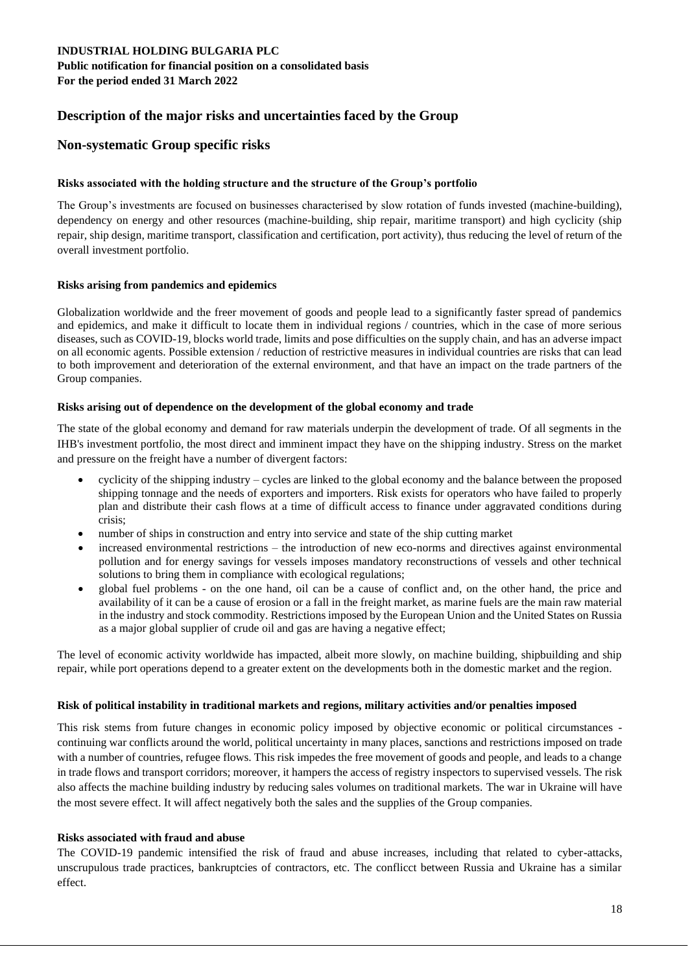# **Description of the major risks and uncertainties faced by the Group**

# **Non-systematic Group specific risks**

## **Risks associated with the holding structure and the structure of the Group's portfolio**

The Group's investments are focused on businesses characterised by slow rotation of funds invested (machine-building), dependency on energy and other resources (machine-building, ship repair, maritime transport) and high cyclicity (ship repair, ship design, maritime transport, classification and certification, port activity), thus reducing the level of return of the overall investment portfolio.

## **Risks arising from pandemics and epidemics**

Globalization worldwide and the freer movement of goods and people lead to a significantly faster spread of pandemics and epidemics, and make it difficult to locate them in individual regions / countries, which in the case of more serious diseases, such as COVID-19, blocks world trade, limits and pose difficulties on the supply chain, and has an adverse impact on all economic agents. Possible extension / reduction of restrictive measures in individual countries are risks that can lead to both improvement and deterioration of the external environment, and that have an impact on the trade partners of the Group companies.

### **Risks arising out of dependence on the development of the global economy and trade**

The state of the global economy and demand for raw materials underpin the development of trade. Of all segments in the IHB's investment portfolio, the most direct and imminent impact they have on the shipping industry. Stress on the market and pressure on the freight have a number of divergent factors:

- cyclicity of the shipping industry cycles are linked to the global economy and the balance between the proposed shipping tonnage and the needs of exporters and importers. Risk exists for operators who have failed to properly plan and distribute their cash flows at a time of difficult access to finance under aggravated conditions during crisis;
- number of ships in construction and entry into service and state of the ship cutting market
- increased environmental restrictions the introduction of new eco-norms and directives against environmental pollution and for energy savings for vessels imposes mandatory reconstructions of vessels and other technical solutions to bring them in compliance with ecological regulations;
- global fuel problems on the one hand, oil can be a cause of conflict and, on the other hand, the price and availability of it can be a cause of erosion or a fall in the freight market, as marine fuels are the main raw material in the industry and stock commodity. Restrictions imposed by the European Union and the United States on Russia as a major global supplier of crude oil and gas are having a negative effect;

The level of economic activity worldwide has impacted, albeit more slowly, on machine building, shipbuilding and ship repair, while port operations depend to a greater extent on the developments both in the domestic market and the region.

## **Risk of political instability in traditional markets and regions, military activities and/or penalties imposed**

This risk stems from future changes in economic policy imposed by objective economic or political circumstances continuing war conflicts around the world, political uncertainty in many places, sanctions and restrictions imposed on trade with a number of countries, refugee flows. This risk impedes the free movement of goods and people, and leads to a change in trade flows and transport corridors; moreover, it hampers the access of registry inspectors to supervised vessels. The risk also affects the machine building industry by reducing sales volumes on traditional markets. The war in Ukraine will have the most severe effect. It will affect negatively both the sales and the supplies of the Group companies.

## **Risks associated with fraud and abuse**

The COVID-19 pandemic intensified the risk of fraud and abuse increases, including that related to cyber-attacks, unscrupulous trade practices, bankruptcies of contractors, etc. The conflicct between Russia and Ukraine has a similar effect.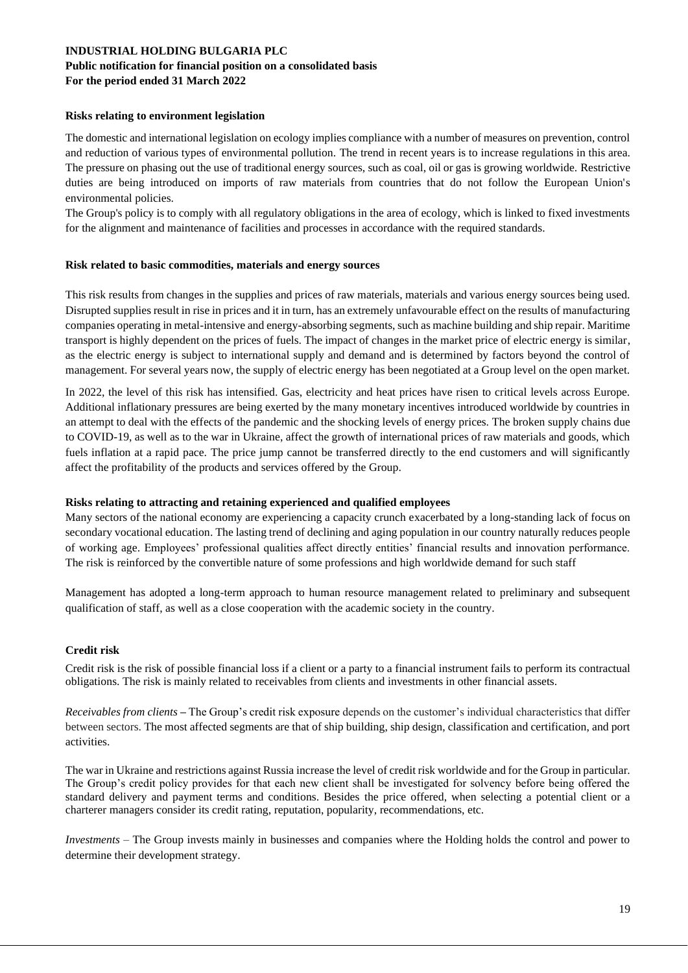#### **Risks relating to environment legislation**

The domestic and international legislation on ecology implies compliance with a number of measures on prevention, control and reduction of various types of environmental pollution. The trend in recent years is to increase regulations in this area. The pressure on phasing out the use of traditional energy sources, such as coal, oil or gas is growing worldwide. Restrictive duties are being introduced on imports of raw materials from countries that do not follow the European Union's environmental policies.

The Group's policy is to comply with all regulatory obligations in the area of ecology, which is linked to fixed investments for the alignment and maintenance of facilities and processes in accordance with the required standards.

### **Risk related to basic commodities, materials and energy sources**

This risk results from changes in the supplies and prices of raw materials, materials and various energy sources being used. Disrupted supplies result in rise in prices and it in turn, has an extremely unfavourable effect on the results of manufacturing companies operating in metal-intensive and energy-absorbing segments, such as machine building and ship repair. Maritime transport is highly dependent on the prices of fuels. The impact of changes in the market price of electric energy is similar, as the electric energy is subject to international supply and demand and is determined by factors beyond the control of management. For several years now, the supply of electric energy has been negotiated at a Group level on the open market.

In 2022, the level of this risk has intensified. Gas, electricity and heat prices have risen to critical levels across Europe. Additional inflationary pressures are being exerted by the many monetary incentives introduced worldwide by countries in an attempt to deal with the effects of the pandemic and the shocking levels of energy prices. The broken supply chains due to COVID-19, as well as to the war in Ukraine, affect the growth of international prices of raw materials and goods, which fuels inflation at a rapid pace. The price jump cannot be transferred directly to the end customers and will significantly affect the profitability of the products and services offered by the Group.

## **Risks relating to attracting and retaining experienced and qualified employees**

Many sectors of the national economy are experiencing a capacity crunch exacerbated by a long-standing lack of focus on secondary vocational education. The lasting trend of declining and aging population in our country naturally reduces people of working age. Employees' professional qualities affect directly entities' financial results and innovation performance. The risk is reinforced by the convertible nature of some professions and high worldwide demand for such staff

Management has adopted a long-term approach to human resource management related to preliminary and subsequent qualification of staff, as well as a close cooperation with the academic society in the country.

## **Credit risk**

Credit risk is the risk of possible financial loss if a client or a party to a financial instrument fails to perform its contractual obligations. The risk is mainly related to receivables from clients and investments in other financial assets.

*Receivables from clients –* The Group's credit risk exposure depends on the customer's individual characteristics that differ between sectors. The most affected segments are that of ship building, ship design, classification and certification, and port activities.

The war in Ukraine and restrictions against Russia increase the level of credit risk worldwide and for the Group in particular. The Group's credit policy provides for that each new client shall be investigated for solvency before being offered the standard delivery and payment terms and conditions. Besides the price offered, when selecting a potential client or a charterer managers consider its credit rating, reputation, popularity, recommendations, etc.

*Investments –* The Group invests mainly in businesses and companies where the Holding holds the control and power to determine their development strategy.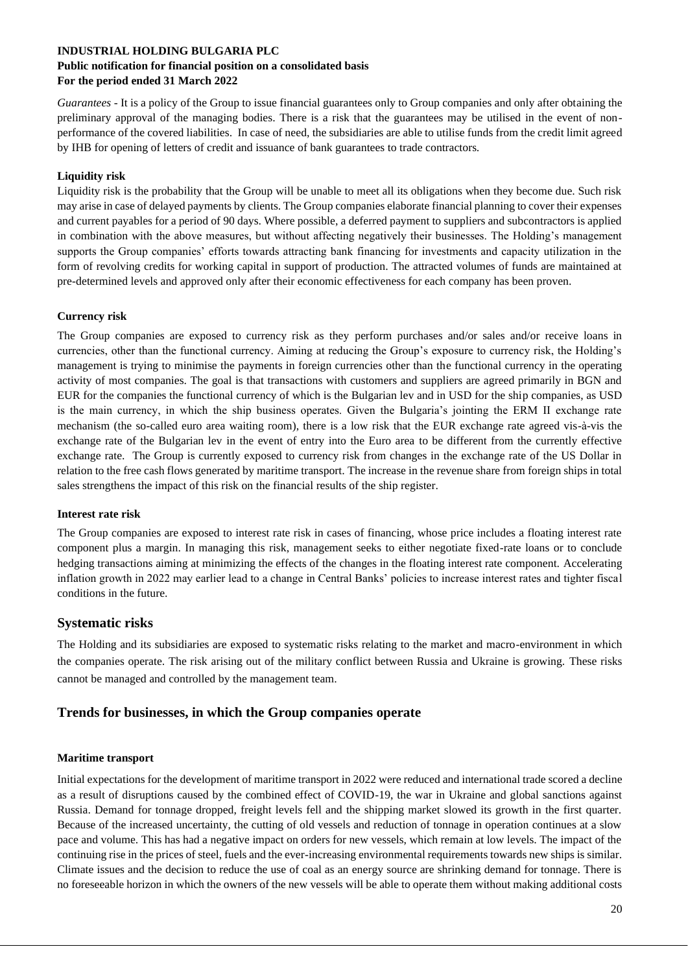## **Public notification for financial position on a consolidated basis For the period ended 31 March 2022**

*Guarantees* - It is a policy of the Group to issue financial guarantees only to Group companies and only after obtaining the preliminary approval of the managing bodies. There is a risk that the guarantees may be utilised in the event of nonperformance of the covered liabilities. In case of need, the subsidiaries are able to utilise funds from the credit limit agreed by IHB for opening of letters of credit and issuance of bank guarantees to trade contractors.

### **Liquidity risk**

Liquidity risk is the probability that the Group will be unable to meet all its obligations when they become due. Such risk may arise in case of delayed payments by clients. The Group companies elaborate financial planning to cover their expenses and current payables for a period of 90 days. Where possible, a deferred payment to suppliers and subcontractors is applied in combination with the above measures, but without affecting negatively their businesses. The Holding's management supports the Group companies' efforts towards attracting bank financing for investments and capacity utilization in the form of revolving credits for working capital in support of production. The attracted volumes of funds are maintained at pre-determined levels and approved only after their economic effectiveness for each company has been proven.

### **Currency risk**

The Group companies are exposed to currency risk as they perform purchases and/or sales and/or receive loans in currencies, other than the functional currency. Aiming at reducing the Group's exposure to currency risk, the Holding's management is trying to minimise the payments in foreign currencies other than the functional currency in the operating activity of most companies. The goal is that transactions with customers and suppliers are agreed primarily in BGN and EUR for the companies the functional currency of which is the Bulgarian lev and in USD for the ship companies, as USD is the main currency, in which the ship business operates. Given the Bulgaria's jointing the ERM II exchange rate mechanism (the so-called euro area waiting room), there is a low risk that the EUR exchange rate agreed vis-à-vis the exchange rate of the Bulgarian lev in the event of entry into the Euro area to be different from the currently effective exchange rate. The Group is currently exposed to currency risk from changes in the exchange rate of the US Dollar in relation to the free cash flows generated by maritime transport. The increase in the revenue share from foreign ships in total sales strengthens the impact of this risk on the financial results of the ship register.

#### **Interest rate risk**

The Group companies are exposed to interest rate risk in cases of financing, whose price includes a floating interest rate component plus a margin. In managing this risk, management seeks to either negotiate fixed-rate loans or to conclude hedging transactions aiming at minimizing the effects of the changes in the floating interest rate component. Accelerating inflation growth in 2022 may earlier lead to a change in Central Banks' policies to increase interest rates and tighter fiscal conditions in the future.

## **Systematic risks**

The Holding and its subsidiaries are exposed to systematic risks relating to the market and macro-environment in which the companies operate. The risk arising out of the military conflict between Russia and Ukraine is growing. These risks cannot be managed and controlled by the management team.

## **Trends for businesses, in which the Group companies operate**

#### **Maritime transport**

Initial expectations for the development of maritime transport in 2022 were reduced and international trade scored a decline as a result of disruptions caused by the combined effect of COVID-19, the war in Ukraine and global sanctions against Russia. Demand for tonnage dropped, freight levels fell and the shipping market slowed its growth in the first quarter. Because of the increased uncertainty, the cutting of old vessels and reduction of tonnage in operation continues at a slow pace and volume. This has had a negative impact on orders for new vessels, which remain at low levels. The impact of the continuing rise in the prices of steel, fuels and the ever-increasing environmental requirements towards new ships is similar. Climate issues and the decision to reduce the use of coal as an energy source are shrinking demand for tonnage. There is no foreseeable horizon in which the owners of the new vessels will be able to operate them without making additional costs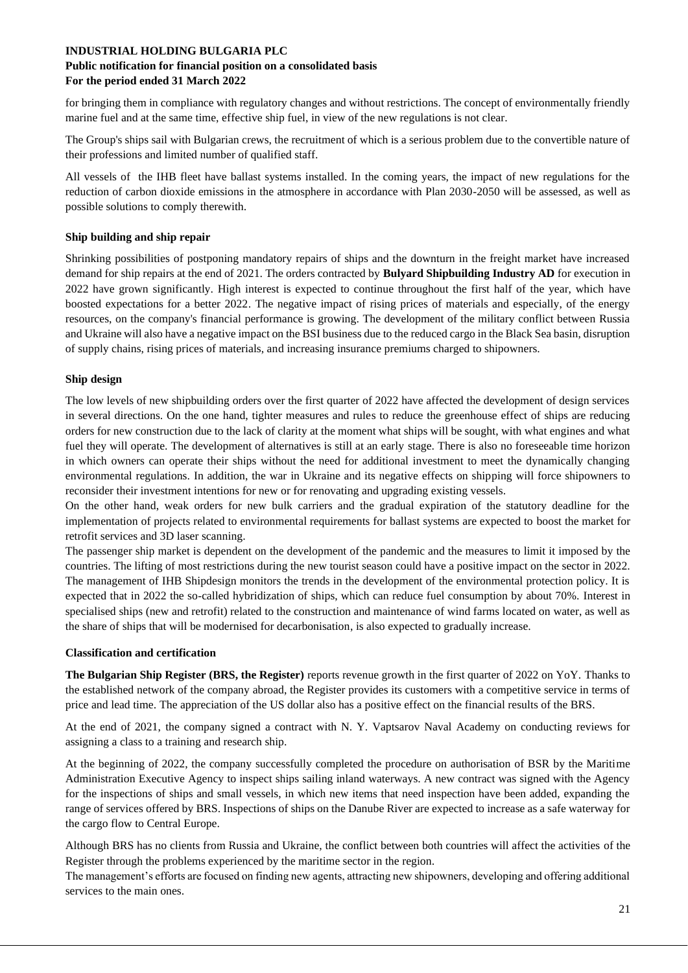### **Public notification for financial position on a consolidated basis For the period ended 31 March 2022**

for bringing them in compliance with regulatory changes and without restrictions. The concept of environmentally friendly marine fuel and at the same time, effective ship fuel, in view of the new regulations is not clear.

The Group's ships sail with Bulgarian crews, the recruitment of which is a serious problem due to the convertible nature of their professions and limited number of qualified staff.

All vessels of the IHB fleet have ballast systems installed. In the coming years, the impact of new regulations for the reduction of carbon dioxide emissions in the atmosphere in accordance with Plan 2030-2050 will be assessed, as well as possible solutions to comply therewith.

#### **Ship building and ship repair**

Shrinking possibilities of postponing mandatory repairs of ships and the downturn in the freight market have increased demand for ship repairs at the end of 2021. The orders contracted by **Bulyard Shipbuilding Industry AD** for execution in 2022 have grown significantly. High interest is expected to continue throughout the first half of the year, which have boosted expectations for a better 2022. The negative impact of rising prices of materials and especially, of the energy resources, on the company's financial performance is growing. The development of the military conflict between Russia and Ukraine will also have a negative impact on the BSI business due to the reduced cargo in the Black Sea basin, disruption of supply chains, rising prices of materials, and increasing insurance premiums charged to shipowners.

## **Ship design**

The low levels of new shipbuilding orders over the first quarter of 2022 have affected the development of design services in several directions. On the one hand, tighter measures and rules to reduce the greenhouse effect of ships are reducing orders for new construction due to the lack of clarity at the moment what ships will be sought, with what engines and what fuel they will operate. The development of alternatives is still at an early stage. There is also no foreseeable time horizon in which owners can operate their ships without the need for additional investment to meet the dynamically changing environmental regulations. In addition, the war in Ukraine and its negative effects on shipping will force shipowners to reconsider their investment intentions for new or for renovating and upgrading existing vessels.

On the other hand, weak orders for new bulk carriers and the gradual expiration of the statutory deadline for the implementation of projects related to environmental requirements for ballast systems are expected to boost the market for retrofit services and 3D laser scanning.

The passenger ship market is dependent on the development of the pandemic and the measures to limit it imposed by the countries. The lifting of most restrictions during the new tourist season could have a positive impact on the sector in 2022. The management of IHB Shipdesign monitors the trends in the development of the environmental protection policy. It is expected that in 2022 the so-called hybridization of ships, which can reduce fuel consumption by about 70%. Interest in specialised ships (new and retrofit) related to the construction and maintenance of wind farms located on water, as well as the share of ships that will be modernised for decarbonisation, is also expected to gradually increase.

#### **Classification and certification**

**The Bulgarian Ship Register (BRS, the Register)** reports revenue growth in the first quarter of 2022 on YoY. Thanks to the established network of the company abroad, the Register provides its customers with a competitive service in terms of price and lead time. The appreciation of the US dollar also has a positive effect on the financial results of the BRS.

At the end of 2021, the company signed a contract with N. Y. Vaptsarov Naval Academy on conducting reviews for assigning a class to a training and research ship.

At the beginning of 2022, the company successfully completed the procedure on authorisation of BSR by the Maritime Administration Executive Agency to inspect ships sailing inland waterways. A new contract was signed with the Agency for the inspections of ships and small vessels, in which new items that need inspection have been added, expanding the range of services offered by BRS. Inspections of ships on the Danube River are expected to increase as a safe waterway for the cargo flow to Central Europe.

Although BRS has no clients from Russia and Ukraine, the conflict between both countries will affect the activities of the Register through the problems experienced by the maritime sector in the region.

The management's efforts are focused on finding new agents, attracting new shipowners, developing and offering additional services to the main ones.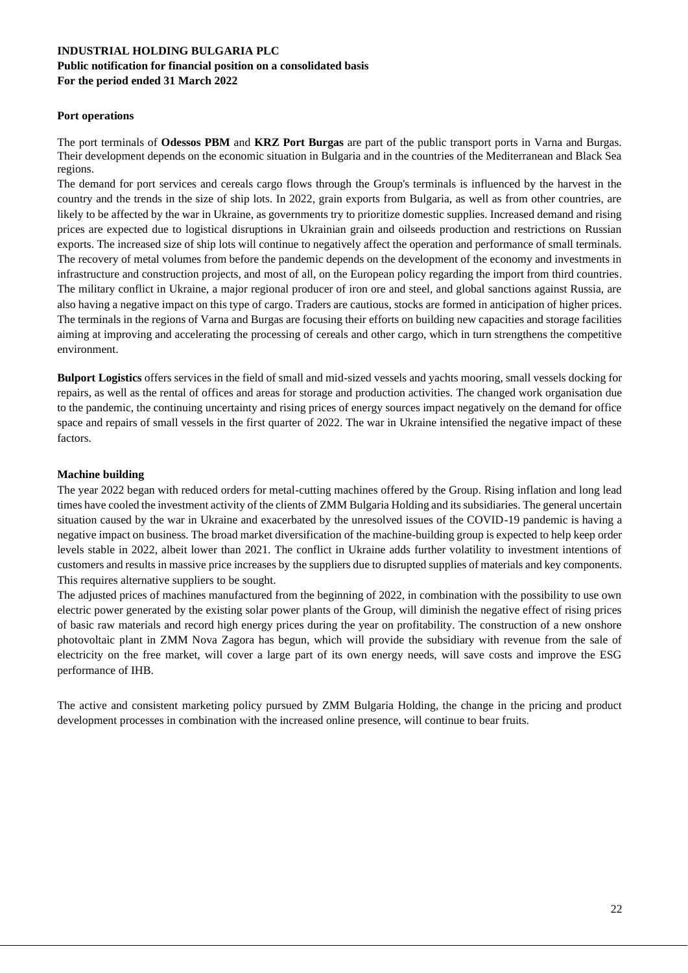#### **Port operations**

The port terminals of **Odessos PBM** and **KRZ Port Burgas** are part of the public transport ports in Varna and Burgas. Their development depends on the economic situation in Bulgaria and in the countries of the Mediterranean and Black Sea regions.

The demand for port services and cereals cargo flows through the Group's terminals is influenced by the harvest in the country and the trends in the size of ship lots. In 2022, grain exports from Bulgaria, as well as from other countries, are likely to be affected by the war in Ukraine, as governments try to prioritize domestic supplies. Increased demand and rising prices are expected due to logistical disruptions in Ukrainian grain and oilseeds production and restrictions on Russian exports. The increased size of ship lots will continue to negatively affect the operation and performance of small terminals. The recovery of metal volumes from before the pandemic depends on the development of the economy and investments in infrastructure and construction projects, and most of all, on the European policy regarding the import from third countries. The military conflict in Ukraine, a major regional producer of iron ore and steel, and global sanctions against Russia, are also having a negative impact on this type of cargo. Traders are cautious, stocks are formed in anticipation of higher prices. The terminals in the regions of Varna and Burgas are focusing their efforts on building new capacities and storage facilities aiming at improving and accelerating the processing of cereals and other cargo, which in turn strengthens the competitive environment.

**Bulport Logistics** offers services in the field of small and mid-sized vessels and yachts mooring, small vessels docking for repairs, as well as the rental of offices and areas for storage and production activities. The changed work organisation due to the pandemic, the continuing uncertainty and rising prices of energy sources impact negatively on the demand for office space and repairs of small vessels in the first quarter of 2022. The war in Ukraine intensified the negative impact of these factors.

### **Machine building**

The year 2022 began with reduced orders for metal-cutting machines offered by the Group. Rising inflation and long lead times have cooled the investment activity of the clients of ZMM Bulgaria Holding and its subsidiaries. The general uncertain situation caused by the war in Ukraine and exacerbated by the unresolved issues of the COVID-19 pandemic is having a negative impact on business. The broad market diversification of the machine-building group is expected to help keep order levels stable in 2022, albeit lower than 2021. The conflict in Ukraine adds further volatility to investment intentions of customers and results in massive price increases by the suppliers due to disrupted supplies of materials and key components. This requires alternative suppliers to be sought.

The adjusted prices of machines manufactured from the beginning of 2022, in combination with the possibility to use own electric power generated by the existing solar power plants of the Group, will diminish the negative effect of rising prices of basic raw materials and record high energy prices during the year on profitability. The construction of a new onshore photovoltaic plant in ZMM Nova Zagora has begun, which will provide the subsidiary with revenue from the sale of electricity on the free market, will cover a large part of its own energy needs, will save costs and improve the ESG performance of IHB.

The active and consistent marketing policy pursued by ZMM Bulgaria Holding, the change in the pricing and product development processes in combination with the increased online presence, will continue to bear fruits.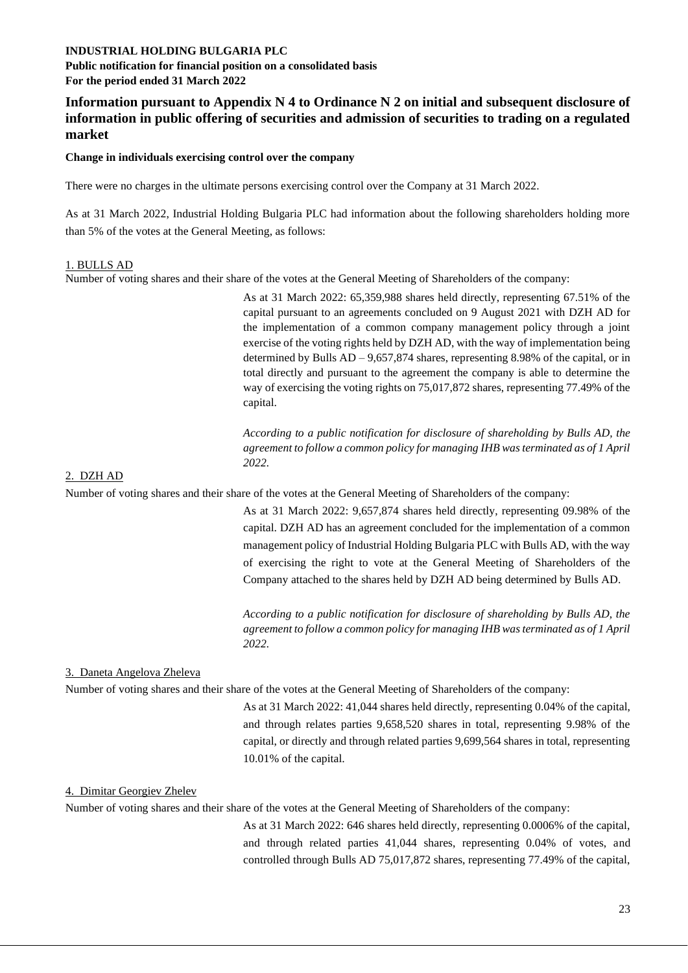**Public notification for financial position on a consolidated basis For the period ended 31 March 2022** 

# **Information pursuant to Appendix N 4 to Ordinance N 2 on initial and subsequent disclosure of information in public offering of securities and admission of securities to trading on a regulated market**

#### **Change in individuals exercising control over the company**

There were no charges in the ultimate persons exercising control over the Company at 31 March 2022.

As at 31 March 2022, Industrial Holding Bulgaria PLC had information about the following shareholders holding more than 5% of the votes at the General Meeting, as follows:

#### 1. BULLS AD

Number of voting shares and their share of the votes at the General Meeting of Shareholders of the company:

As at 31 March 2022: 65,359,988 shares held directly, representing 67.51% of the capital pursuant to an agreements concluded on 9 August 2021 with DZH AD for the implementation of a common company management policy through a joint exercise of the voting rights held by DZH AD, with the way of implementation being determined by Bulls AD – 9,657,874 shares, representing 8.98% of the capital, or in total directly and pursuant to the agreement the company is able to determine the way of exercising the voting rights on 75,017,872 shares, representing 77.49% of the capital.

*According to a public notification for disclosure of shareholding by Bulls AD, the agreement to follow a common policy for managing IHB was terminated as of 1 April 2022.* 

#### 2. DZH AD

Number of voting shares and their share of the votes at the General Meeting of Shareholders of the company:

As at 31 March 2022: 9,657,874 shares held directly, representing 09.98% of the capital. DZH AD has an agreement concluded for the implementation of a common management policy of Industrial Holding Bulgaria PLC with Bulls AD, with the way of exercising the right to vote at the General Meeting of Shareholders of the Company attached to the shares held by DZH AD being determined by Bulls AD.

*According to a public notification for disclosure of shareholding by Bulls AD, the agreement to follow a common policy for managing IHB was terminated as of 1 April 2022.*

#### 3. Daneta Angelova Zheleva

Number of voting shares and their share of the votes at the General Meeting of Shareholders of the company:

As at 31 March 2022: 41,044 shares held directly, representing 0.04% of the capital, and through relates parties 9,658,520 shares in total, representing 9.98% of the capital, or directly and through related parties 9,699,564 shares in total, representing 10.01% of the capital.

#### 4. Dimitar Georgiev Zhelev

Number of voting shares and their share of the votes at the General Meeting of Shareholders of the company:

As at 31 March 2022: 646 shares held directly, representing 0.0006% of the capital, and through related parties 41,044 shares, representing 0.04% of votes, and controlled through Bulls AD 75,017,872 shares, representing 77.49% of the capital,